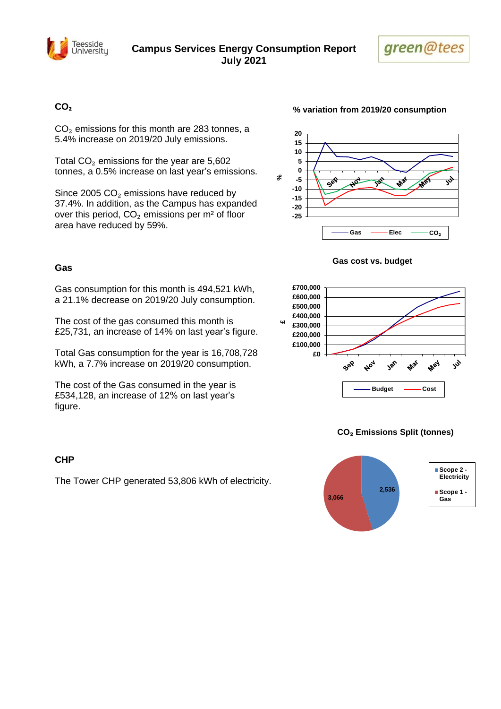



### **CO₂**

 $CO<sub>2</sub>$  emissions for this month are 283 tonnes, a 5.4% increase on 2019/20 July emissions.

Total  $CO<sub>2</sub>$  emissions for the year are 5,602 tonnes, a 0.5% increase on last year's emissions.

Since 2005  $CO<sub>2</sub>$  emissions have reduced by 37.4%. In addition, as the Campus has expanded over this period,  $CO<sub>2</sub>$  emissions per m<sup>2</sup> of floor area have reduced by 59%.

### **Gas**

Gas consumption for this month is 494,521 kWh, a 21.1% decrease on 2019/20 July consumption.

The cost of the gas consumed this month is £25,731, an increase of 14% on last year's figure.

Total Gas consumption for the year is 16,708,728 kWh, a 7.7% increase on 2019/20 consumption.

The cost of the Gas consumed in the year is £534,128, an increase of 12% on last year's figure.

### **CHP**

The Tower CHP generated 53,806 kWh of electricity.

### **% variation from 2019/20 consumption**



#### **Gas cost vs. budget**



### **CO**₂ **Emissions Split (tonnes)**

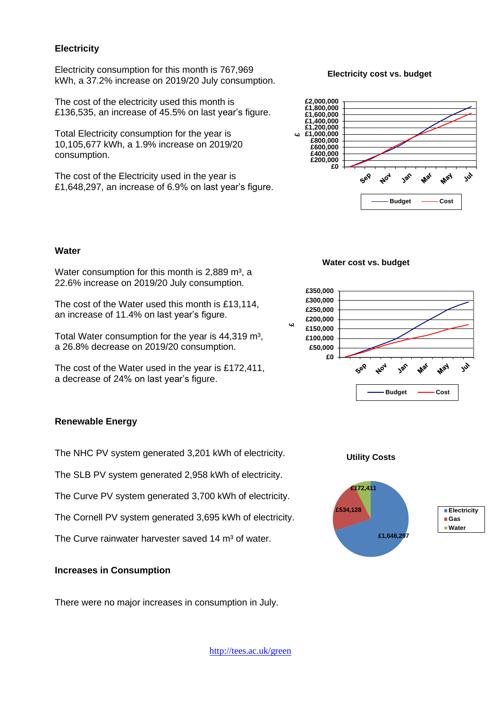### **Electricity**

Electricity consumption for this month is 767,969 kWh, a 37.2% increase on 2019/20 July consumption.

The cost of the electricity used this month is £136,535, an increase of 45.5% on last year's figure.

Total Electricity consumption for the year is 10,105,677 kWh, a 1.9% increase on 2019/20 consumption.

The cost of the Electricity used in the year is £1,648,297, an increase of 6.9% on last year's figure.

#### **Electricity cost vs. budget**



#### **Water**

Water consumption for this month is  $2,889$  m<sup>3</sup>, a 22.6% increase on 2019/20 July consumption.

The cost of the Water used this month is £13,114, an increase of 11.4% on last year's figure.

Total Water consumption for the year is 44,319 m<sup>3</sup>, a 26.8% decrease on 2019/20 consumption.

The cost of the Water used in the year is £172,411, a decrease of 24% on last year's figure.

### **Renewable Energy**

The NHC PV system generated 3,201 kWh of electricity.

The SLB PV system generated 2,958 kWh of electricity.

The Curve PV system generated 3,700 kWh of electricity.

The Cornell PV system generated 3,695 kWh of electricity.

The Curve rainwater harvester saved 14 m<sup>3</sup> of water.

### **Increases in Consumption**

There were no major increases in consumption in July.

### **Water cost vs. budget**





<http://tees.ac.uk/green>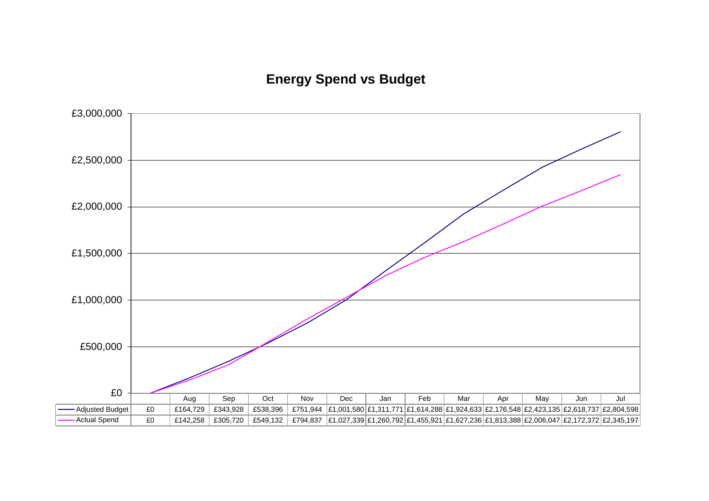# **Energy Spend vs Budget**

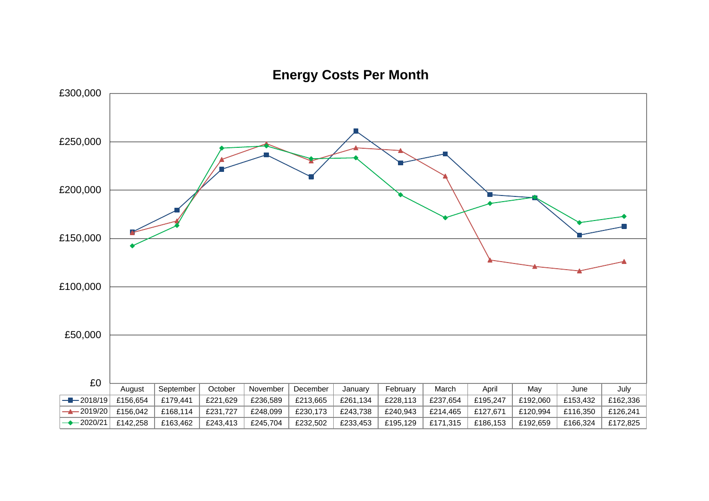

**Energy Costs Per Month**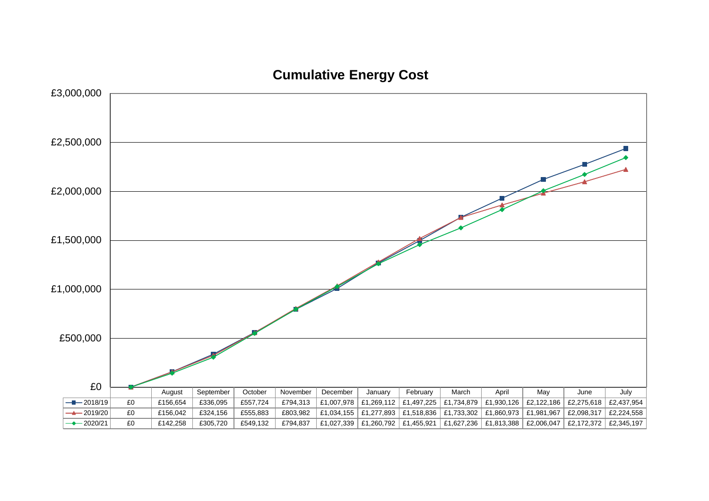

**Cumulative Energy Cost**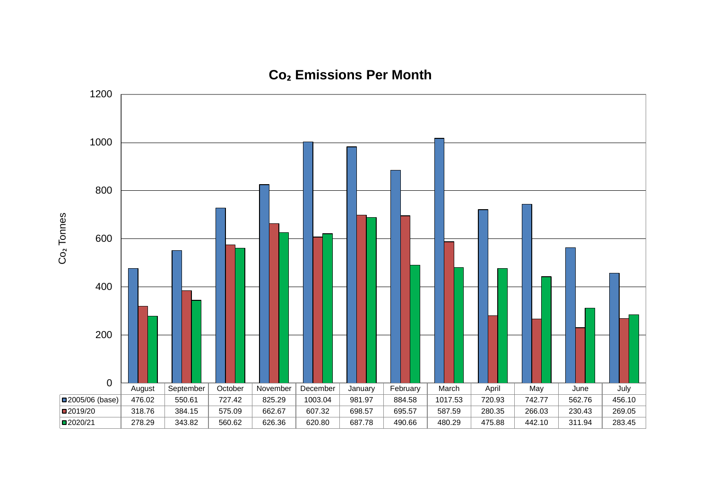

### **Co₂ Emissions Per Month**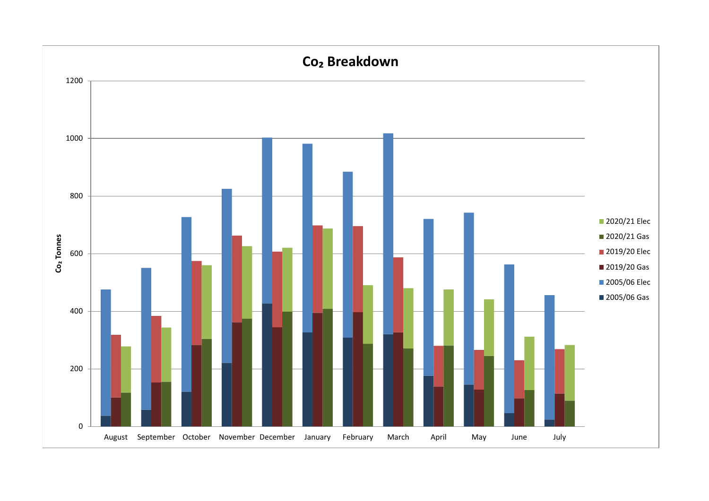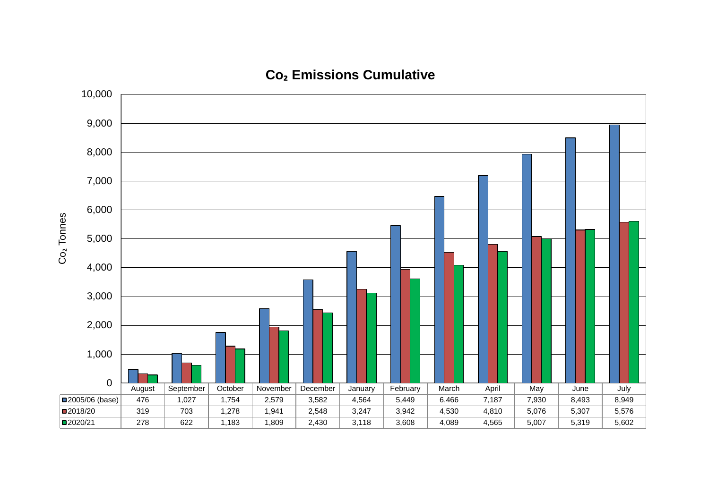

# **Co₂ Emissions Cumulative**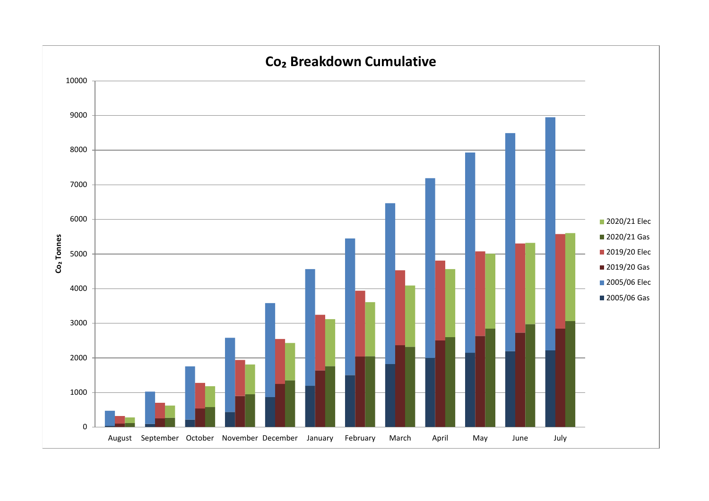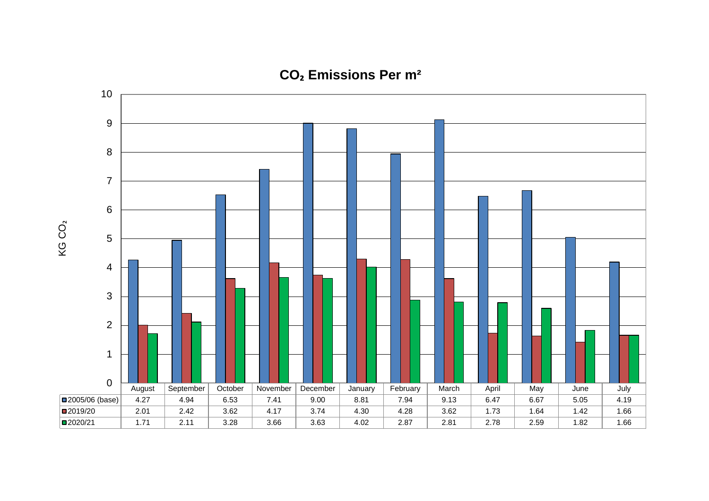

**CO₂ Emissions Per m²**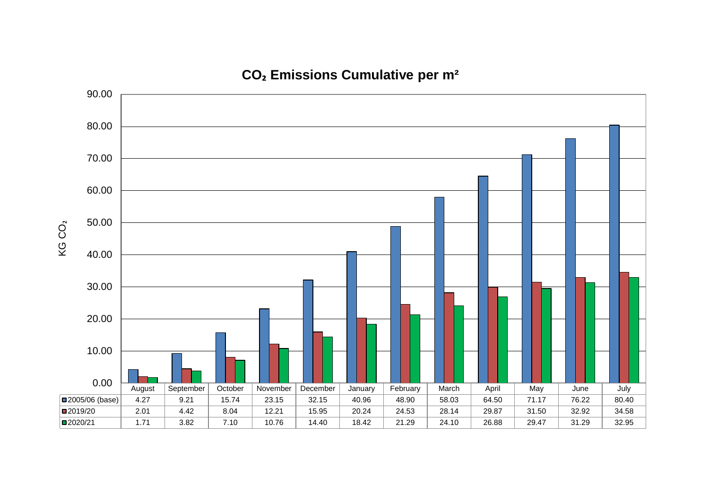**CO₂ Emissions Cumulative per m²**

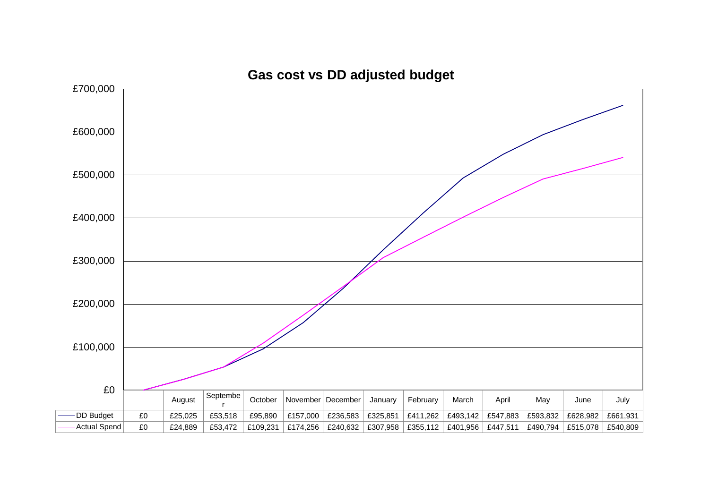

# **Gas cost vs DD adjusted budget**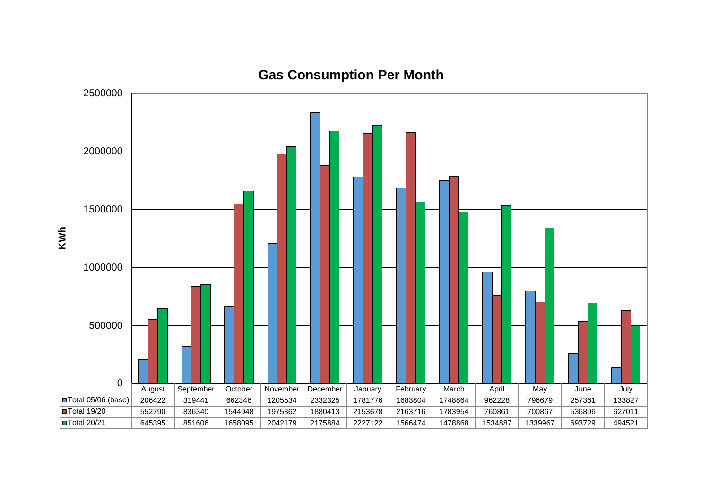

# **Gas Consumption Per Month**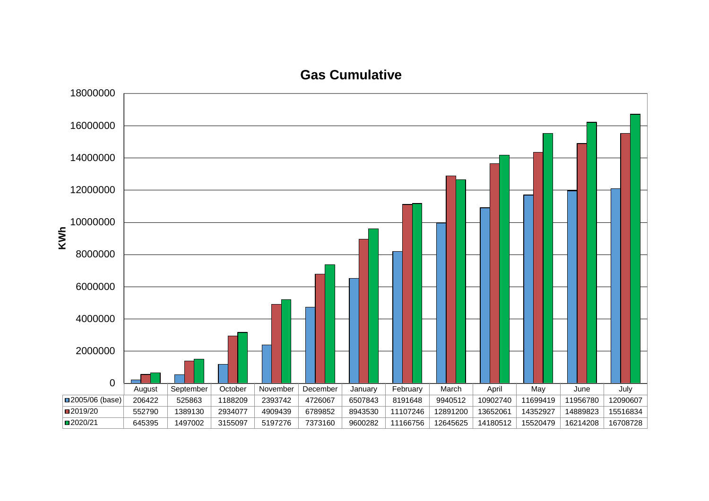### **Gas Cumulative**

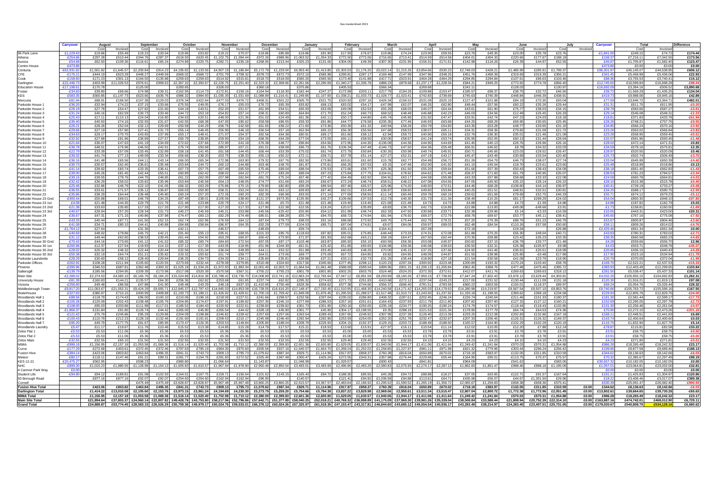|                        |                  |            |                                                                                                                                                                                                                                |           |                                                   |                                                                                           |                                         | February<br>Januarv |                                                                       |           |                                         |            |                     |               |            |            |                                  |                |                   |                            |             |                   |
|------------------------|------------------|------------|--------------------------------------------------------------------------------------------------------------------------------------------------------------------------------------------------------------------------------|-----------|---------------------------------------------------|-------------------------------------------------------------------------------------------|-----------------------------------------|---------------------|-----------------------------------------------------------------------|-----------|-----------------------------------------|------------|---------------------|---------------|------------|------------|----------------------------------|----------------|-------------------|----------------------------|-------------|-------------------|
|                        | <b>Carryover</b> | August     | September                                                                                                                                                                                                                      |           | October                                           | November                                                                                  | December                                |                     |                                                                       |           | March                                   |            | April               | Mav           |            | June       |                                  | July           | Carrvove          | Total                      |             | <b>Difference</b> |
|                        |                  | Cost       | Invoice<br>Cost                                                                                                                                                                                                                | Invoiced  | Cost<br>Invoice                                   | Cost<br>Invoice                                                                           | Cost<br>Invoice                         | Cost                | Cost<br>Invoiced                                                      | Invoicec  | Cost<br>Invoice                         | Cost       | Invoiced            | Cost          | Invoiced   | Cost       | Invoiced                         | Cos<br>Invoice |                   | Cost                       | Invoice     |                   |
| 96 Park Lane           | £1,229.4         | £19.86     | £55.49<br>£19.22                                                                                                                                                                                                               | £33.54    | £19.86<br>£53.82                                  | £19.2<br>£70.0                                                                            | £19.86<br>£85.8                         | £19.86              | £91.90<br>£17.93                                                      | £76.67    | £19.86<br>£74.2                         | £23.00     | £59.55              | £23.7         | £49.35     | £23.00     | £35.78<br>£23.7                  |                | £1.841.           | £249.15                    | £74.72      | £174.44           |
| Athena                 | -£254.8          | £297.28    | £510.44<br>£344.76                                                                                                                                                                                                             | £287.37   | £618.93<br>£620.45                                | £1,102.75<br>£1.094.44                                                                    | £972.26<br>£989.9                       | £1.063.52           | £1,054.33<br>£772.50                                                  | £772.06   | £716.65<br>£713.4                       | £514.59    | £514.58             | £404.0        | £404.33    | £220.66    | £177.67<br>£188.1                |                | £158.3            | £7,216.1                   | £7.042.55   | £173.56           |
|                        |                  |            |                                                                                                                                                                                                                                |           |                                                   |                                                                                           |                                         |                     |                                                                       |           |                                         |            |                     |               |            |            |                                  |                |                   |                            |             |                   |
| Aurora                 | $-£54.6$         | £62.50     | £109.36<br>£116.61                                                                                                                                                                                                             | £65.24    | £274.89<br>£220.75                                | £282.7<br>£235.18                                                                         | £268.95<br>£213.44                      | £325.23             | £131.06<br>£304.05                                                    | £49.39    | $-£307.30$<br>£231.9                    | £156.31    | £171.61             | £142.9        | £118.26    | £26.39     | £44.97<br>£52.5                  |                | £45.8             | £1,705.87                  | £1.582.40   | £123.47           |
| Centre House           | $-£473.8$        |            |                                                                                                                                                                                                                                |           |                                                   |                                                                                           |                                         |                     |                                                                       |           |                                         |            |                     |               |            |            |                                  |                | £473.             | £0.00                      | £0.00       | £0.00             |
| Centuria               | £62,931.         | £1,501.82  | £1.645.57<br>£2,200.84                                                                                                                                                                                                         | £914.23   | £4.195.82<br>£1.133.56                            | £4.907.1<br>£1,186.84                                                                     | £5.172.78<br>£1.229.                    | £6,953.40           | £1,413.85<br>£5,303.0                                                 | £1.176.20 | £5.022.14<br>£1,215.2                   | £3,854.6   | £530.2              | £2.748.0      | £428.2     | £1,485.9!  | £295.91<br>£1,799.3              |                | £96.301.          | £45,145.07                 | £44.538.95  | £606.12           |
| CFE                    | $-£175.2$        | £444.19    | £448.2<br>£623.29                                                                                                                                                                                                              | £449.59   | £669.02<br>£668.72                                | £701.7<br>£708.32                                                                         | £678.73<br>£672.7                       | £572.10             | £585.98<br>£299.81                                                    | £287.17   | £169.48<br>£147.9                       | £347.96    | £348.25             | £451.7        | £458.39    | £319.69    | £319.39<br>£356.2                |                | £341.4            | £5,458.99                  | £5.436.06   | £22.93            |
|                        |                  |            |                                                                                                                                                                                                                                |           |                                                   |                                                                                           |                                         |                     |                                                                       |           |                                         |            |                     |               |            |            |                                  |                |                   |                            |             |                   |
| Cook                   | -£158.           | £171.23    | £301.1<br>£164.50                                                                                                                                                                                                              | £135.88   | £259.63<br>£259.63                                | £514.9<br>£515.81                                                                         | £518.70<br>£518.0                       | £565.25             | £565.56<br>£173.40                                                    | £141.88   | £417.71<br>£523.9                       | £464.28    | £464.2              | £294.8        | £294.84    | £107.61    | £89.63<br>£103.4                 |                | £88.              | £3,755.5                   | £3.740.41   | £15.12            |
| Darlington             | $-E22.446.7$     | £403.99    | £11.029.53<br>£976.61                                                                                                                                                                                                          | £999.63   | £2.367.32<br>£2.350.67                            | £2,226.75<br>£2.251.40                                                                    | £2,323,32<br>£2.308.66                  | £2.261.66           | £1,340,27<br>£2.290.69                                                | £1.336.78 | £888.23<br>£879.68                      | £1.237.17  | £1.228.34           | £944.2        | £949.2     | £773.92    | £774.78<br>£856.40               |                | £12.745.6         | £16.599.84                 | £16,698.28  | $-£98.44$         |
| <b>Education House</b> | £17,198.6        | £170.78    | £125.0                                                                                                                                                                                                                         |           | £283.6                                            | £326.                                                                                     | £360.1                                  | £375.8              | £405.5                                                                |           | £566.34                                 | £269.61    |                     | £242.1        |            | £128.0     | £130.9                           |                | £16,692           | £3,384.16                  | $-£506.52$  | £3,890.68         |
|                        | $-£34.8$         |            | £69.66<br>£74.98                                                                                                                                                                                                               | £39.31    | £162.95<br>£114.73                                | £172.81                                                                                   | £164.94<br>£118.3                       | £182.44             | £172.89                                                               | £203.7    | £217.79                                 |            |                     | £185.57       |            |            | £32.72<br>£46.5                  |                | £39.7             | £1.569.29                  | £1.435.2    | £134.04           |
| Foster                 |                  | £39.80     |                                                                                                                                                                                                                                |           |                                                   | £159.16                                                                                   |                                         |                     | £247.27                                                               |           | £194.2                                  | £109.88    | £153.47             |               | £98.37     | £38.75     |                                  |                |                   |                            |             |                   |
| KES                    | £583.3           | £560.85    | £1.147.7<br>£623.66                                                                                                                                                                                                            | £636.76   | £986.32<br>£984.93                                | £1,035.30<br>£1,031.69                                                                    | £1,088.89<br>£1,216.41                  | £1,249.85           | £1,107.65<br>£1,038.21                                                | £1,033.73 | £1,028.77<br>£1,023.4                   | £742.83    | £739.69             | £745.6        | £740.39    | £448.84    | £446.39<br>£438.9                |                | £419.7            | £9,988.06                  | £9.945.1    | £42.89            |
| Mercuria               | $-£81.9$         | £88.9      | £166.50<br>£157.38                                                                                                                                                                                                             | £129.03   | £376.34<br>£422.64                                | £476.72<br>£477.0                                                                         | £458.31<br>£501.2                       | £505.70             | £521.75<br>£520.92                                                    | £297.16   | £426.34<br>£156.52                      | £531.09    | £525.1              | £127.47       | £101.88    | £84.19     | £70.35                           | £93.04         | £77.6             | £3,846.72                  | £3.364.71   | £482.01           |
| Parkside House 1       | $-£36.2$         | £32.94     | £74.22<br>£37.15                                                                                                                                                                                                               | £33.66    | £75.55<br>£49.05                                  | £76.1<br>£55.03                                                                           | £76.72<br>£65.3                         | £93.82              | £68.13<br>£83.02                                                      | £54.17    | $-E47.99$<br>£62.0                      | £46.25     | £62.80              | £48.44        | £57.06     | £60.22     | £35.26                           | £29.44         | £31.3             | £611.75                    | £611.95     | $-£0.20$          |
|                        | $-£26.19$        |            | £27.82                                                                                                                                                                                                                         | £31.60    | £44.18<br>£43.51                                  | £51.57                                                                                    | £61.99<br>£54.5                         | £65.93              | £53.09<br>£49.09                                                      | £52.53    | £68.0                                   |            | £64.44              | £43.61        | £61.90     |            | £38.03<br>£34.1                  |                | £39.7             | £583.66                    | £587.2      | $-£3.61$          |
| Parkside House 2       |                  | £27.78     | £54.4                                                                                                                                                                                                                          |           |                                                   | £52.0                                                                                     |                                         |                     |                                                                       |           | £55.29                                  | £46.0      |                     |               |            | £75.77     |                                  |                |                   |                            |             |                   |
| Parkside House 3       | $-£31.24$        | £40.16     | £62.59<br>£30.73                                                                                                                                                                                                               | £33.46    | £44.72<br>£53.18                                  | £54.82<br>£57.14                                                                          | £58.31<br>£60.8                         | £64.84              | £71.70<br>£52.24                                                      | £60.73    | £68.52<br>£48.48                        | £46.88     | £42.23              | £46.03        | £34.56     | £12.49     | £25.45<br>£26.3                  |                | £29.1             | £546.08                    | £548.31     | $-E2.23$          |
| Parkside House 4       | $-E25.4$         | £17.11     | £110.1<br>£24.04                                                                                                                                                                                                               | £16.80    | £34.63<br>£20.51                                  | £48.0<br>£21.36                                                                           | £51.02<br>£24.49                        | £61.36              | £42.11<br>£50.17                                                      | £44.80    | $-£45.74$<br>£45.9                      | £31.92     | £47.47              | £33.9         | £42.74     | £47.23     | £24.0                            | £18.1          | £18.8             | £371.83                    | £433.78     | £61.94            |
| Parkside House 5       | $-£35.40$        | £40.50     | £74.16<br>£32.55                                                                                                                                                                                                               | £31.67    | £42.55<br>£68.38                                  | £47.00<br>£95.62                                                                          | £59.58<br>£86.55                        | £59.33              | £91.86<br>£44.77                                                      | £76.58    | £235.35<br>£77.46                       | £46.93     | £63.68              | £44.25        | £68.29     | £69.95     | £30.65                           | £25.4          | £28.2             | £748.21                    | £757.7      | $-£9.55$          |
|                        |                  |            |                                                                                                                                                                                                                                |           |                                                   |                                                                                           |                                         |                     |                                                                       |           |                                         |            |                     | £43.3         |            |            |                                  |                |                   |                            | £570.16     |                   |
| Parkside House 6       | $-£26.21$        | £28.26     | £52.04<br>£32.12                                                                                                                                                                                                               | £29.69    | £50.58<br>£44.29                                  | £56.7<br>£42.58                                                                           | £61.65<br>£58.2                         | £71.60              | £73.36<br>£50.30                                                      | £61.32    | £40.94<br>£58.2                         | £50.79     | £54.83              |               | £53.28     | £48.77     | £33.65<br>£31.1                  |                | £34.8             | £566.24                    |             | $-£3.92$          |
| Parkside House 7       | $-£29.66$        | £27.19     | £57.90<br>£27.41                                                                                                                                                                                                               | £31.73    | £55.14<br>£46.45                                  | £55.90<br>£46.18                                                                          | £56.54<br>£57.1                         | £62.94              | £65.15<br>£56.30                                                      | £55.56    | £47.68<br>£58.53                        | £38.07     | £65.11              | £34.31        | £58.36     | £79.82     | £31.09<br>£21.7                  |                | £23.2             | £563.02                    | £566.84     | $-£3.83$          |
| Parkside House 8       | $-£34.6$         | £29.1      | £70.7<br>£43.65                                                                                                                                                                                                                | £37.99    | £63.17<br>£48.41                                  | £71.0<br>£54.37                                                                           | £82.56<br>£64.3                         | £80.91              | £69.1<br>£61.60                                                       | £58.12    | $-E2.94$<br>£59.7                       | £40.90     | £50.18              | £32.76        | £36.30     | £35.01     | £21.46<br>£21.0                  |                | £23.2             | £558.95                    | £559.45     | $-£0.51$          |
| Parkside House 9       | $-£32.92$        | £27.88     | £36.89<br>£81.96                                                                                                                                                                                                               | £27.57    | £38.85<br>£60.79                                  | £59.90<br>£54.19                                                                          | £68.35<br>£64.2                         | £77.04              | £73.05<br>£65.1                                                       | £58.50    | £30.05<br>£58.6                         | £41.24     | £53.74              | £35.95        | £52.05     | £60.13     | £31.44                           | £28.64         | £32.0             | £591.96                    | £593.45     | $-£1.49$          |
|                        |                  |            |                                                                                                                                                                                                                                |           |                                                   |                                                                                           |                                         |                     |                                                                       |           |                                         |            |                     | f414          |            |            |                                  |                |                   |                            |             |                   |
| Parkside House 10      | $-£21.6$         | £36.07     | £47.6<br>£41.1                                                                                                                                                                                                                 | £34.69    | £72.62<br>£37.66                                  | £72.9<br>£41.1                                                                            | £48.7<br>£76.38                         | £96.84              | £54.56<br>£72.95                                                      | £44.30    | $-£136.09$<br>£44.3                     | £44.90     | £44.69              |               | £40.13     | £26.76     | £26.96<br>£26.1                  |                | £28.              | £472.14                    | £471.3      | £0.83             |
| Parkside House 11      | $-£36.71$        | £48.51     | £75.96<br>£46.50                                                                                                                                                                                                               | £42.91    | £50.68<br>£76.74                                  | £85.97<br>£57.21                                                                          | £91.01<br>£58.08                        | £96.73              | £61.76<br>£106.34                                                     | £47.48    | $-£146.73$<br>£47.50                    | £64.36     | £55.48              | £66.91        | £46.62     | £8.78      | £34.32<br>£33.0                  |                | £34.5             | £578.16                    | £575.81     | £2.35             |
| Parkside House 12      | $-E22.7$         | £33.39     | £57.0<br>£33.45                                                                                                                                                                                                                | £32.8     | £58.18<br>£41.45                                  | £61.5<br>£44.45                                                                           | £66.44<br>£53.3                         | £75.0               | £61.74<br>£72.79                                                      | £50.84    | $-£30.2$<br>£50.9                       | £49.74     | £45.91              | £50.7         | £45.6      | £23.0      | £29.5                            | £26.4          | £28.9             | £520.55                    | £520.0      | £0.46             |
| Parkside House 13      | $-£39.32$        | £41.74     | £77.1<br>£49.09                                                                                                                                                                                                                | £33.34    | £56.66<br>£38.20                                  | £53.7<br>£38.33                                                                           | £55.13<br>£50.2                         | £72.11              | £59.71<br>£57.78                                                      | £51.14    | $-E27.27$<br>£52.3                      | £47.19     | £43.17              | £45.47        | £43.49     | £30.69     | £33.04<br>£20.40                 |                | £25.7             | £502.74                    | £506.49     | $-£3.75$          |
|                        |                  |            |                                                                                                                                                                                                                                |           |                                                   |                                                                                           |                                         |                     |                                                                       |           |                                         |            |                     |               |            |            |                                  |                |                   |                            |             |                   |
| Parkside House 14      | $-£36.10$        | £41.48     | £65.56<br>£44.1                                                                                                                                                                                                                | £43.14    | £65.34<br>£66.00                                  | £72.98<br>£63.90                                                                          | £79.32<br>£67.7                         | £82.50              | £73.86<br>£63.61                                                      | £61.60    | £15.78<br>£62.7                         | £54.49     | £56.72              | £51.26        | £54.79     | £46.73     | £38.07<br>£27.7                  |                | £33.0             | £645.99                    | £650.39     | $-£4.40$          |
| Parkside House 15      | $-£30.73$        | £30.57     | £62.40<br>£36.61                                                                                                                                                                                                               | £35.48    | £53.84<br>£44.72                                  | £60.1<br>£44.88                                                                           | £63.46<br>£49.76                        | £81.87              | £70.81<br>£66.25                                                      | £57.53    | $-£9.15$<br>£47.46                      | £52.00     | £41.92              | £41.1         | £45.54     | £18.70     | £23.6<br>£23.61                  |                | £25.4             | £518.99                    | £518.86     | £0.13             |
| Parkside House 16      | $-£41.14$        | £39.92     | £83.7<br>£33.35                                                                                                                                                                                                                | £36.41    | £67.73<br>£57.75                                  | £67.49<br>£65.59                                                                          | £75.46<br>£69.04                        | £88.04              | £76.53<br>£72.66                                                      | £59.77    | £25.36<br>£61.5                         | £55.20     | £59.64              | £51.66        | £57.39     | £50.43     | £38.43<br>£34.0                  |                | £38.1             | £661.40                    | £662.83     | $-£1.43$          |
|                        | $-£39.00$        |            | £42.44<br>£81.4                                                                                                                                                                                                                | £55.51    | £62.42<br>£60.89                                  | £68.0                                                                                     | £77.27<br>£83.2                         | £89.04              | £97.23<br>£73.84                                                      | £77.75    | £104.61<br>£78.9                        | £64.62     | £71.48              | £58.3         | £71.83     | £61.79     | £40.95                           | £35.0          | £38.5             | £781.2                     | £784.57     | $-£3.34$          |
| Parkside House 17      |                  | £45.26     |                                                                                                                                                                                                                                |           |                                                   | £64.22                                                                                    |                                         |                     |                                                                       |           |                                         |            |                     |               |            |            |                                  |                |                   |                            |             |                   |
| Parkside House 18      | $-£39.16$        | £39.55     | £79.76<br>£44.75                                                                                                                                                                                                               | £48.85    | £61.22<br>£62.09                                  | £57.98<br>£62.84                                                                          | £61.76<br>£75.24                        | £67.46              | £77.42<br>£64.49                                                      | £62.92    | £94.91<br>£63.1                         | £44.58     | £55.88              | £43.33        | £57.88     | £58.68     | £33.33<br>£22.0                  |                | £24.5             | £660.78                    | £664.81     | $-£4.03$          |
| Parkside House 19      | $-E32.4$         | £36.29     | £59.0<br>£33.82                                                                                                                                                                                                                | £35.96    | £45.58<br>£53.84                                  | £48.05<br>£64.1                                                                           | £74.77<br>£51.6                         | £83.24              | £56.67<br>£72.24                                                      | £46.74    | $-£58.52$<br>£48.2                      | £47.08     | £54.56              | £47.0         | £45.50     | £35.22     | £28.14                           | £26.2          | £28.              | £515.38                    | £515.78     | $-£0.40$          |
| Parkside House 20      | $-£25.46$        | £32.86     | £46.7<br>£22.10                                                                                                                                                                                                                | £41.05    | £66.32<br>£63.29                                  | £75.86<br>£70.15                                                                          | £79.80<br>£82.80                        | £99.29              | £89.54<br>£87.46                                                      | £65.57    | £25.96<br>£74.20                        | £48.50     | £72.51              | <b>£44 46</b> | £68.28     | £108.60    | £44.14                           | £36.97         | £40.4             | £728.19                    | £733.27     | $-£5.08$          |
|                        |                  |            |                                                                                                                                                                                                                                | £36.87    |                                                   |                                                                                           |                                         | £69.83              |                                                                       |           |                                         |            |                     |               |            |            |                                  |                |                   |                            | £590.7      |                   |
| Parkside House 21      | $-£36.55$        | £33.61     | £71.5<br>£35.12                                                                                                                                                                                                                |           | £50.90<br>£60.03                                  | £58.3<br>£53.24                                                                           | £62.91<br>£63.1                         |                     | £67.40<br>£62.0                                                       | £53.49    | £36.87<br>£58.6                         | £49.60     | £53.84              | £40.2         | £51.51     | £48.81     | £32.51                           | £30.8          | £34.2             | £588.17                    |             | $-£2.59$          |
| Parkside House 22      | $-£35.80$        | £38.29     | £36.48<br>£64.44                                                                                                                                                                                                               | £45.80    | £57.20<br>£60.24                                  | £72.2<br>£60.20                                                                           | £82.39<br>£66.9                         | £93.50              | £71.14<br>£77.69                                                      | £58.50    | $-E11.14$<br>£60.49                     | £59.78     | £60.19              | £39.62        | £61.69     | £78.69     | £52.75                           | £46.3          | £55.71            | £674.12                    | £679.23     | $-£5.11$          |
| Parkside House 23 Gnd  | £400.44          | £55.88     | £69.0<br>£46.79                                                                                                                                                                                                                | £34.25    | £87.49<br>£38.01                                  | £105.0<br>£38.90                                                                          | £121.37<br>£673.3                       | £135.90             | £42.27<br>£109.66                                                     | £37.53    | £12.73<br>£40.3                         | £31.73     | £11.34              | £38.49        | £10.25     | £81.1      | £299.29<br>£24.0                 |                | £54.0             | £850.30                    | £948.1      | £97.80-           |
| Parkside House 23 1st  | $-E4.08$         | £21.48     | £20.79<br>£44.35                                                                                                                                                                                                               | £21.76    | £21.48<br>£23.88                                  | £20.7<br>£24.17                                                                           | £21.48<br>$-£5.7$                       | £21.48              | £21.48<br>£19.40                                                      | £19.40    | £21.69<br>£21.4                         | £4.73      | £4.73               | £4.88         | £4.88      | £4.73      | £1.59                            | £4.88          | £4.8              | £187.82                    | £182.79     | £5.03             |
|                        |                  |            |                                                                                                                                                                                                                                |           |                                                   |                                                                                           |                                         |                     |                                                                       |           |                                         |            |                     |               |            |            |                                  |                |                   |                            |             |                   |
| Parkside House 23 2nd  | $-£21.38$        | £33.63     | £35.8<br>£17.33                                                                                                                                                                                                                | £17.33    | £17.90<br>£17.90                                  | £17.3<br>£17.33                                                                           | £17.90<br>£22.3                         | £22.55              | £19.24<br>£20.57                                                      | £35.89    | $-£8.83$<br>£36.7                       | £42.73     | £16.89              | £22.88        | £13.83     | $-£49.08$  | $-£49.68$                        | £3.9           | -£1.              | £158.81                    | £160.50     | $-£1.69$          |
| Parkside House 23 3rd  | £40.67           | £28.94     | £57.20<br>£28.34                                                                                                                                                                                                               | £31.73    | £40.27<br>£45.59                                  | £45.21<br>£53.88                                                                          | £45.56<br>$-£25.42$                     | £55.90              | £54.12<br>£51.99                                                      | £46.74    | £62.33<br>£47.50                        | £30.68     | £33.71              | £32.38        | £29.96     | £5.14      | $-£3.33$                         | £16.59         | £10.6             | £443.31                    | £423.00     | £20.31            |
| Parkside House 24      | $-£36.67$        | £47.31     | £71.1<br>£40.86                                                                                                                                                                                                                | £37.98    | £74.47<br>£60.13                                  | £82.29<br>£74.48                                                                          | £85.51<br>£88.28                        | £55.74              | £94.70<br>£68.72                                                      | £74.94    | £81.94<br>£76.92                        | £69.37     | £72.79              | £68.78        | £69.67     | £53.77     | £45.11                           | £38.41         | £45.6             | £767.16                    | £775.08     | $-£7.92$          |
| Parkside House 25      | $-E43.3$         | £40.44     | £87.7<br>£41.50                                                                                                                                                                                                                | £52.15    | £62.74<br>£62.96                                  | £76.59<br>£64.12                                                                          | £87.64<br>£79.7                         | £98.0               | £91.16<br>£88.68                                                      | £73.92    | £49.7<br>£75.44                         | £62.7      | £79.31              | £57.2         | £76.39     | £88.76     | £51.2                            | £46.7          | £53.6             | £800.87                    | £804.46     | $-£3.60$          |
|                        |                  |            |                                                                                                                                                                                                                                |           |                                                   |                                                                                           |                                         |                     |                                                                       |           |                                         |            |                     |               |            |            |                                  |                |                   |                            |             |                   |
| Parkside House 26      | $-E41.08$        | £34.71     | £80.1<br>£44.41                                                                                                                                                                                                                | £40.88    | £58.84<br>£84.68                                  | £86.9<br>£64.35                                                                           | £77.09<br>£92.29                        | £104.53             | £85.71<br>£87.04                                                      | £74.81    | $-£8.67$<br>£84.0                       | £59.97     | £89.03              | £62.48        | £84.54     | £110.26    | £57.58<br>£50.6                  |                | £58.1             | £809.26                    | £814.02     | $-£4.76$          |
| Parkside House 27      | $-£1,764.1$      | £27.64     | £31.36                                                                                                                                                                                                                         |           | £42.11                                            | £46.5                                                                                     | £48.69                                  | £59.74              | £55.1                                                                 |           | £164.41                                 | £67.28     |                     | £72.1         |            | £19.34     | F26.8                            |                | £2.425.4          | £661.34                    | £661.34     | £0.00             |
| Parkside House 28      | $-£40.6$         | £48.02     | £79.86<br>£45.75                                                                                                                                                                                                               | £42.21    | £91.40<br>£55.13                                  | £95.41<br>£68.55                                                                          | £101.33<br>£95.76                       | £118.63             | £97.82<br>£95.0                                                       | £75.85    | $-E48.44$<br>£73.3                      | £74.31     | £72.08              | £61.88        | £70.25     | £56.30     | £49.04<br>£40.7                  |                | £43.8             | £780.31                    | £783.02     | $-£2.71$          |
|                        |                  |            |                                                                                                                                                                                                                                | £39.45    |                                                   |                                                                                           |                                         |                     |                                                                       |           |                                         |            |                     |               |            |            |                                  |                |                   |                            |             | $-£4.65$          |
| Parkside House 29      | $-£31.1$         | £49.44     | £62.60<br>£38.53                                                                                                                                                                                                               |           | £54.92<br>£61.44                                  | £63.2<br>£60.97                                                                           | £60.42<br>£73.9                         | £71.97              | £81.93<br>£62.68                                                      | £63.21    | £58.19<br>£64.47                        | £67.50     | £62.44              | £70.3         | £58.88     | £23.42     | £35.23<br>£33.3                  |                | £38.3             | £660.58                    | £665.2      |                   |
| Parkside House 30 Gnd  | $-£70.42$        | £44.16     | £73.65<br>£41.12                                                                                                                                                                                                               | £41.52    | £85.32<br>£60.74                                  | £84.60<br>£72.54                                                                          | £87.05<br>£87.1                         | £103.48             | £63.87<br>£85.92                                                      | £55.10    | $-£60.59$<br>£56.3                      | £53.08     | £40.97              | £50.82        | £37.15     | $-£36.79$  | £33.77                           | £21.48         | £4.2              | £559.66                    | £556.70     | £2.96             |
| Parkside House 30 1st  | £200.9           | £12.37     | £27.54<br>£19.93                                                                                                                                                                                                               | £14.10    | £37.12<br>£17.39                                  | £43.0<br>£18.95                                                                           | £51.96<br>£344.3                        | £61.5′              | £25.42<br>£51.85                                                      | £60.65    | £106.98<br>£59.3                        | £46.0      | £39.63              | £36.5         | £32.3      | £26.38     | 105.97؛                          | £9.9           |                   | £503.71                    | £548.78     | £45.07            |
| Parkside House 30 2nd  | $-£28.02$        | £20.32     | £46.32<br>£22.44                                                                                                                                                                                                               | £20.44    | £32.56<br>£31.04                                  | £36.04<br>£49.99                                                                          | £44.11<br>£53.3                         | £51.88              | £53.45<br>£40.83                                                      | £48.26    | £70.00<br>£45.15                        | £37.25     | £37.66              | £24.92        | £41.46     | £36.81     | £18.99<br>£20.51                 |                | £20.8             | £436.15                    | £440.43     | $-£4.29$          |
|                        |                  |            |                                                                                                                                                                                                                                |           |                                                   |                                                                                           |                                         |                     |                                                                       |           |                                         |            |                     |               |            |            |                                  |                |                   |                            |             |                   |
| Parkside House 30 3rd  | $-£55.3$         | £32.19     | £64.74<br>£51.21                                                                                                                                                                                                               | £35.82    | £50.82<br>£33.32                                  | £59.77<br>£51.74                                                                          | £64.0<br>£73.0                          | £69.77              | £75.09<br>£67.72                                                      | £64.80    | £9.82<br>£64.9                          | £48.0      | £44.87              | £51.5         | £38.98     | £25.85     | $-£0.48$<br>£17.8                |                | £17.9             | £523.16                    | £534.94     | $-£11.78$         |
| Parkside Laundrette    | $-E28.29$        | £30.60     | £58.1<br>£28.40                                                                                                                                                                                                                | £29.84    | £34.73<br>£36.25                                  | £34.33<br>£34.11                                                                          | £35.80<br>£35.81                        | £39.88              | £37.21<br>£33.11                                                      | £32.73    | £31.25<br>£35.44                        | £18.90     | £27.18              | £21.54        | £30.58     | £41.09     | £23.79<br>£18.90                 |                | £20.7             | £370.05                    | £372.04     | $-£1.99$          |
| Parkside Offices       | £262.9           | £108.28    | £211.9<br>£105.60                                                                                                                                                                                                              | £120.55   | £273.69<br>£232.44                                | £278.08<br>£279.85                                                                        | £310.48<br>£324.6                       | £317.56             | £345.66<br>£277.45                                                    | £298.12   | £120.23<br>£297.3                       | £300.9     | £223.48             | £200.8        | £193.32    | £170.24    | £103.40<br>£58.7                 |                | £169.             | £2,522.2                   | £2.537.53   | -£15.33           |
| Phoenix                | $-£395.9$        | £346.53    | £687.8<br>£362.48                                                                                                                                                                                                              | £300.32   | £1,534.26<br>£1,525.18                            | £1,972.93<br>£1,983.34                                                                    | £2.001.40<br>£2,003.7                   | £1,664.54           | £1.661.48<br>£588.69                                                  | £589.54   | £899.96<br>£901.1                       | £1,206.1;  | £1,205.84           | £962.4        | £968.76    | £477.48    | £395.7<br>£475.46                |                | £383.             | £12,403.49                 | £12,299.65  | £103.84           |
|                        |                  |            |                                                                                                                                                                                                                                |           |                                                   |                                                                                           |                                         |                     |                                                                       |           |                                         |            |                     |               |            |            |                                  |                |                   |                            |             |                   |
| Saltersgill            | $-£139.7$        | £185.56    | £209.39<br>£294.9                                                                                                                                                                                                              | £173.98   | £517.08<br>£520.39                                | £570.58<br>£567.31                                                                        | £755.22<br>£755.2                       | £801.7              | £801.80<br>£602.25                                                    | £603.76   | £524.48<br>£524.2                       | £372.30    | £372.61             | £412.0        | £411.76    | £269.63    | £269.63<br>£318.1                |                | £281.             | £5,538.47                  | £5,437.3    | £101.14           |
| Main Site              | $-£2.289.0$      | £2.274.53  | £4.583.10<br>6.165.76                                                                                                                                                                                                          | £6.184.20 | £15.024.88<br>£14.816.38                          | 16.788.42<br>16.736.70                                                                    | £14.008.89 £13.741.                     | £12.863.24          | 12.765.64<br>£7.047.12                                                | £6.991.59 | £8.293.99<br>28.160.2                   | £7.859.1   | £7.738.69           | 27.647.24     | £7.602.43  | £3.678.1   | £3.629.44<br>4.303.8             |                | £4.032.           | £105.955.15                | 104.692.83  | 1,262.31          |
| University House       | $-E81.3$         | £160.83    | £144.21<br>£135.57                                                                                                                                                                                                             | £64.30    | £256.36<br>£62.82                                 | £253.68<br>£61.65                                                                         | £237.74<br>£62.8                        | £295.32             | £274.63<br>£271.73                                                    | £251.83   | $-£410.68$<br>£272.12                   | £237.04    | £243.23             | £217.00       | £231.52    | £130.44    | £111.09<br>£131.1                |                | £120.3            | £1.916.21                  | £1,819.13   | £97.08            |
| Victoria               | $-£256.0$        | £49.48     | £86.58<br>£47.88                                                                                                                                                                                                               | £41.90    | £49.48<br>£43.29                                  | £48.18<br>£637.33                                                                         | £1.410.9<br>£750.4                      | £628.36             | £658.62<br>£577.38                                                    | £744.66   | £556.3<br>£696.4                        | £781.5     | £783.58             | £660.2        | £653.5     | £155.01    | £118.3<br>£89.9                  |                | £68.              | £5,054.7                   | £5,026.44   | £28.32            |
|                        |                  |            |                                                                                                                                                                                                                                |           |                                                   |                                                                                           |                                         |                     |                                                                       |           |                                         |            |                     |               |            |            |                                  |                |                   |                            |             |                   |
| Middlesbrough Tower    | $-E9,817.2$      | £11,053.67 | £21,053.3<br>£9,424.29                                                                                                                                                                                                         |           | £9.655.71 £12.845.37 £12.797.43                   | £14,845.03                                                                                | £14,853.08 £16,728.05<br>£16,616.2      | £17,148.47          | £17,150.45<br>£11.510.95                                              |           | £11,468.30 £14,240.58<br>£14,171.4      | £14,265.03 | £14,179.63          | £14,280.98    | £14,219.87 | £9,567.54  | £9,507.10<br>£9,853.7            |                | £9,740.8          | £155,763.72                | £155,596.1  | £167.55           |
| Waterhouse             | $-£327$          | £380.97    | £710.1<br>£400.99                                                                                                                                                                                                              | £408.88   | £1 193 7:<br>£1.189.21                            | £1.426.9<br>£1.429.61                                                                     | £1.700.19<br>£1 709                     | £1.849.09           | £1.876.45<br>£1.295.50                                                | £1.288.57 | £1,510.7<br>£1.517.48                   | £1,243.50  | £1.237.9            | £1.193.1      | £1,198.5   | £369.62    | £368.18<br>£234.5                |                | £229.             | £12,805.7                  | £12.829.7   | $-£24.00$         |
| Woodlands Hall 1       | $-688.5$         | £118.79    | £174.43<br>£96.00                                                                                                                                                                                                              | £100.1    | £210.0<br>£196.16                                 | £218.0<br>£227.51                                                                         | £241.66<br>£258.                        | £232.56             | £337.04<br>£235.0                                                     | £286.80   | £408.32<br>£287.6                       | £202.45    | £246.2              | £226.7        | £240.64    | £211.46    | £151.3<br>£180.3                 |                | £181.             | £2,581.44                  | £2.599.1    | $-£17.73$         |
| Woodlands Hall 2       | $-£105.2$        | £120.09    | £202.43<br>£108.48                                                                                                                                                                                                             | £105.76   | £204.85<br>£174.67                                | £197.91<br>£199.82                                                                        | £257.30<br>£245.1                       | £277.69             | £286.53<br>£257.16                                                    | £251.61   | £164.43<br>£237.9                       | £211.79    | £211.80             | £207.8        | £207.6     | £127.32    | £127.12<br>£160.21               |                | £152.             | £2,295.0                   | £2.297.7    | $-E2.73$          |
|                        |                  |            |                                                                                                                                                                                                                                |           |                                                   |                                                                                           |                                         |                     |                                                                       |           |                                         |            |                     |               |            |            |                                  |                |                   |                            |             |                   |
| Woodlands Hall 3       | $-£108.00$       | £95.03     | £203.86<br>£111.98                                                                                                                                                                                                             | £117.01   | £185.52<br>£184.43                                | £220.92<br>£222.61                                                                        | £239.60<br>£239.82                      | £301.73             | £250.16<br>£301.95                                                    | £250.05   | £235.19<br>£234.7                       | £190.25    | £190.24             | £174.79       | £174.57    | £118.44    | £132.85<br>£118.43               |                | £131.3            | £2.256.46                  | £2,261.04   | $-£4.57$          |
| Woodlands Hall 4       | $-£1,866.3$      | £131.84    | £91.80<br>£126.74                                                                                                                                                                                                              | £44.42    | £265.00<br>£45.90                                 | £265.54<br>£44.42                                                                         | £328.18<br>£45.90                       | £301.77             | £304.17<br>£45.90                                                     | £3,198.55 | £9.35<br>£288.18                        | £221.53    | £221.34             | £178.90       | £177.79    | £64.74     | £74.36<br>£64.53                 |                |                   | £2,272.10                  | £2,473.26   | $-£201.16$        |
| Woodlands Hall 5       | $-£121.42$       | £75.79     | £245.86<br>£95.29                                                                                                                                                                                                              |           | £129.86 £204.09<br>£198.88                        | £246.82<br>£228.42                                                                        | £257.69<br>£257.06                      | £263.54             | £289.43 £267.65                                                       | £249.92   | £307.99<br>£237.38                      |            | £126.40 £213.39     | £233.25       | £212.08    | £202.83    | £132.86<br>£167.18               |                | £168.11           | £2.448.51                  | £2,441.83   | £6.69             |
| Woodlands Hall 6       | $-£100.43$       | £110.79    | £212.23<br>£128.19                                                                                                                                                                                                             |           | £132.46 £191.60<br>£191.81                        | £209.53<br>£210.17                                                                        | £245.98<br>£246.40                      | £292.94             | £292.95<br>£253.93                                                    | £254.05   | £252.20<br>£251.78                      |            | £232.47 £232.67     | £207.33       | £206.45    | £126.31    | £126.32<br>£149.37               |                | £143.74           | £2,400.64                  | £2,400.60   | £0.03             |
|                        |                  |            |                                                                                                                                                                                                                                |           |                                                   |                                                                                           |                                         |                     |                                                                       |           |                                         |            |                     |               |            |            |                                  |                |                   |                            |             |                   |
| Woodlands Hall 7       | $-£95.20$        | £49.79     | £177.75<br>£81.67                                                                                                                                                                                                              | £85.95    | £173.47<br>£126.35                                | £203.53<br>£149.84                                                                        | £205.80<br>£188.04                      | £208.79             | £226.50<br>£204.15                                                    |           | £192.37 £129.15<br>£203.72              | £188.49    | £188.50             | £165.57       | £164.90    | £102.29    | £102.29<br>£120.19               |                | £116.7            | £1,832.90                  | £1,827.76   | £5.14             |
| Woodlands Laundry      | £5.47            | £11.17     | £19.67<br>£11.76                                                                                                                                                                                                               | £10.46    | £15.52<br>£13.38                                  | £14.85<br>£15.28                                                                          | £14.78<br>£17.57                        | £15.21              | £18.53<br>£13.60                                                      | £15.91    | -£27.97<br>£16.11                       | £10.54     | £11.14              | £12.02        | £10.05     | £12.20     | £7.88<br>£12.14                  |                | -£78.87           | £115.81                    | £82.58      | £33.22            |
| Zelos Flat 1           | $-£5.53$         | £5.53      | £5.36<br>£11.06                                                                                                                                                                                                                | £5.36     | £5.53<br>£5.53                                    | £5.36<br>£5.36                                                                            | £5.53<br>£5.53                          | £5.53               | £5.53<br>£5.00                                                        | £5.00     | £5.53<br>£5.53                          | £3.78      | £3.78               | £3.91         | £3.91      | £3.78      | £3.78                            | £3.9           | £3.91             | £58.75                     | £58.75      | $-£0.00$          |
| Zelos Flat 2           | $-£5.53$         | £5.53      | £11.06<br>£5.36                                                                                                                                                                                                                | £5.36     | £5.53<br>£5.53                                    | £5.36<br>£5.36                                                                            | £5.53<br>£5.53                          | £5.53               | £5.53<br>£5.00                                                        | £5.00     | £5.53<br>£5.53                          | £3.78      | £3.78               | £3.91         | £3.91      | £3.78      | £3.78                            | £3.91          | £3.91             | £58.75                     | £58.75      | $-£0.00$          |
|                        |                  |            |                                                                                                                                                                                                                                |           |                                                   |                                                                                           |                                         |                     |                                                                       |           |                                         |            |                     |               |            |            |                                  |                |                   |                            |             |                   |
| Zelos Main             | $-£32.55$        | £32.55     | £31.50<br>£65.10                                                                                                                                                                                                               | £31.50    | £32.55<br>£32.55                                  | £31.50<br>£31.50                                                                          | £32.55<br>£32.55                        | £32.55              | £32.55<br>£29.40                                                      | £29.40    | £32.55<br>£32.55                        | £4.10      | £4.10               | £4.23         | £4.23      | £4.10      | £4.10                            | £4.23          | £4.23             | £271.80                    | £271.81     | $-£0.01$          |
| MIMA                   | $-£999.18$       | £1,156.95  | £2.157.18                                                                                                                                                                                                                      |           | £1.053.58 £1.068.36 £1.516.14 £1.520.40 £1.702.98 |                                                                                           | £1.710.12 £2.380.00 £2.399.83           | £2,601.36           | £2,600.80 £1,629.05 £1,630.57 £1,940.06 £1,944.17                     |           |                                         |            | £1.411.06 £1.411.64 | £1.249.42     | £1.241.84  | £570.03    | £570.31 £1.054.88                |                | £986.28           | £18,265.49                 | £18,242.32  | £23.17            |
| Curve                  | $-£177.29$       | £272.68    | £403.61<br>£372.45                                                                                                                                                                                                             | £372.46   | £797.63<br>£795.19                                | £964.30<br>£975.60                                                                        | £935.56<br>£927.16                      | £1,645.57           | £1,664.70<br>£1,268.24                                                |           | £1,252.02 £1,258.85<br>£1,227.97        | £981.11    | £971.98             | £821.32       | £779.96    | £303.44    | £296.24<br>£256.42               |                | £199.8            | £9,877.58                  | £9,689.46   | £188.13           |
|                        | $-£384.14$       | £423.06    |                                                                                                                                                                                                                                |           | £496.35 £841.31 £743.73                           |                                                                                           | £795.73 £1,079.62<br>£987.34            |                     | £1,114.96<br>£917.87                                                  |           | £858.37 £760.39                         |            | £670.02             | £718.18       | £583.97    | £132.05    | £311.85<br>£310.59               |                | £344.62           | £8.136.63                  | £8.142.66   | $-£6.03$          |
| Fusion Hive            |                  |            | £803.82<br>£463.84                                                                                                                                                                                                             |           |                                                   | £909.13                                                                                   |                                         | £929.71             |                                                                       |           | £816.04                                 | £650.89    |                     |               |            |            |                                  |                |                   |                            |             |                   |
| Meteor                 | -£80.17          | £118.11    | £147.46<br>£91.21                                                                                                                                                                                                              |           | £99.31 £281.77 £154.76                            | £281.83<br>£272.52                                                                        | £325.40 £367.48                         | £300.47             | £425.24<br>£272.55                                                    | £343.31   | £357.88<br>£276.44                      | £229.68    | £55.44              | £164.95       | £95.01     | $-£113.75$ | £70.37<br>£75.57                 |                | £70.3             | £2,385.67                  | £2,297.49   | £88.19            |
| KES 12-21              | $-E20.475.27$    | £562.95    | £598.23                                                                                                                                                                                                                        |           | £980.80                                           | £1.056.64                                                                                 | £1.143.87                               | £1.048.99           | £1,029.57                                                             |           | £830.43                                 | £841.81    |                     | £964.09       |            | £541.62    | £583.05                          |                | £30.657.32        | £10.182.05                 | £10.182.05  | £0.00             |
| NHC                    | $-E899.30$       | £1,010.23  | £1,980.55                                                                                                                                                                                                                      |           | £1,128.98 £1,154.13 £1,605.83 £1,610.57 £1,967.94 | £1,978.90                                                                                 | £2,950.48 £2,950.54 £3,493.01           |                     | £3,493.69                                                             |           | £2,496.96 £2,493.20 £2,080.83 £2,075.93 |            | £2,274.17 £2,287.13 | £1,862.83     | £1,851.47  | £998.46    | £998.18 £1,195.09                |                | £1,057.01         | £23,064.81                 | £23,032.00  | £32.81            |
| 4 Cannon Park Way      | £0.00            |            |                                                                                                                                                                                                                                |           |                                                   |                                                                                           |                                         |                     |                                                                       |           |                                         |            |                     |               |            |            |                                  |                | $E_{0.0}$         | £0.00                      | £0.00       | £0.00             |
|                        |                  |            |                                                                                                                                                                                                                                |           |                                                   |                                                                                           |                                         |                     |                                                                       |           |                                         |            |                     |               |            |            |                                  |                |                   |                            |             |                   |
| Student Life           | $-£94.90$        | £94.12     | £189.81<br>£91.08                                                                                                                                                                                                              |           | £167.75<br>£102.93 £164.01                        | £159.71<br>£156.54                                                                        | £101.62<br>£143.15                      | £165.43             | £94.72<br>£188.30                                                     |           | £85.55 £45.28<br>£94.72                 | £88.88     | £18.27              | £37.05        | £63.65     | £122.71    | £91.57<br>£167.64                |                | £191.21           | £1,425.83                  | £1,304.97   | £120.86           |
| 93 Borough Road        |                  | £877.16    | £877.16<br>£92.07                                                                                                                                                                                                              |           | £92.07   £254.60<br>£254.60                       | £162.94<br>£162.94                                                                        | £96.90                                  | £140.57             | £121.41                                                               |           | £94.92 £1,036.58<br>£94.88              | £113.61    | £64.71              | £435.98       | £56.07     |            | £44.67 £1.301.50                 | £29.96         | £18.22            | £3,406.46                  | £3,017.07   | £389.38           |
| Cornell                |                  |            | £475.49                                                                                                                                                                                                                        |           | £475.49 £3.828.87 £3.828.87 £5.967.48             |                                                                                           | £5,967.48 £3,860.25 £3,860.25           | £2,615.57           | £4,367.57 £2,483.64 £2,186.92 £1,295.52 £1,590.52                     |           |                                         |            | £1,265.19 £1,356.72 | £2,065.67     | £1,259.83  | £658.38    | £658.36<br>£575.41               |                | £530.39           | £25,091.47                 | £26,082.40  | $-£990.93$        |
| Fusion Hive Total      |                  | £423.06    | £803.82                                                                                                                                                                                                                        |           | £463.84 £496.35 £841.31 £743.73 £909.13           |                                                                                           | £795.73 £1,079.62 £987.34               | £929.71             | £1,114.96                                                             |           | £917.87 £858.37 £760.39<br>£816.04      |            | £650.89 £670.02     | £718.18       | £583.97    | £132.05    | £310.59<br>£311.85               | £0.00          | £344.62           | £8,136.63                  | £8.142.66   | $-£6.03$          |
|                        |                  |            |                                                                                                                                                                                                                                |           |                                                   |                                                                                           |                                         |                     |                                                                       |           |                                         |            |                     |               |            |            |                                  |                |                   |                            |             |                   |
| Darlington Total       |                  | £1,414.22  | £13,010.08                                                                                                                                                                                                                     |           | £2,105.60 £2,153.76 £3,973.15 £3,961.24 £4,194.69 |                                                                                           | £4,230.30 £5,273.79 £5,259.20 £5,754.66 |                     | £5,784.38 £3,837.22 £3,829.98 £2,969.06 £2,955.61                     |           |                                         |            | £3,511.34 £3,515.47 | £2,807.04     | £2,800.72  |            | £1,772.38 £1,772.96 £2,051.49    |                | £0.00 £13,802.61  | £39,664.65                 | £39,730.28  | -£65.63           |
| MIMA Total             |                  | £1,156.95  | £2,157.18                                                                                                                                                                                                                      |           |                                                   | £1,053.58 £1,068.36 £1,516.14 £1,520.40 £1,702.98 £1,710.12 £2,380.00 £2,399.83 £2,601.36 |                                         |                     | £2,600.80 £1,629.05 £1,630.57 £1,940.06 £1,944.17 £1,411.06 £1,411.64 |           |                                         |            |                     | £1,249.42     | £1,241.84  | £570.03    | £570.31 £1,054.88                | £0.00          | £986.28           | £18,265.49                 | £18,242.32  | £23.17            |
| Main Site Total        |                  | £21,894.64 | £37,803.37  £24,960.14  £22,807.82  £49,428.76  £43,753.80  £58,217.96  £57,796.86  £57,642.71  £51,377.89  £58,040.25  £58,040.25  £52,018.21  £40,769.32  £36,998.89  £41,175.09  £37,969.30  £39,981.26  £35,339.04  £38,50 |           |                                                   |                                                                                           |                                         |                     |                                                                       |           |                                         |            |                     |               | £33,588.44 |            | £21,808.94 £20,752.39 £22,314.10 |                | £0.00 £163,887.16 | £474,742.01                | £468,012.90 | £6,729.11         |
| Grand Total            |                  |            | £24,888.87  £53,774.45  £28,583.15  £26,526.29  £55,759.36  £49,979.17  £65,024.76  £59,533.01  £66,376.12  £60,024.26  £67,325.97  £61,518.35  £47,153.47  £43,317.81  £43,844.60  £43,685.12  £45,554.54  £40,936.17  £43,28 |           |                                                   |                                                                                           |                                         |                     |                                                                       |           |                                         |            |                     |               | £38,214.97 |            | £24,283.40 £23,407.51 £25,731.05 |                | £0.00 £179,020.67 | £540,808.79 <mark>1</mark> | £534,128.16 | £6,680.62         |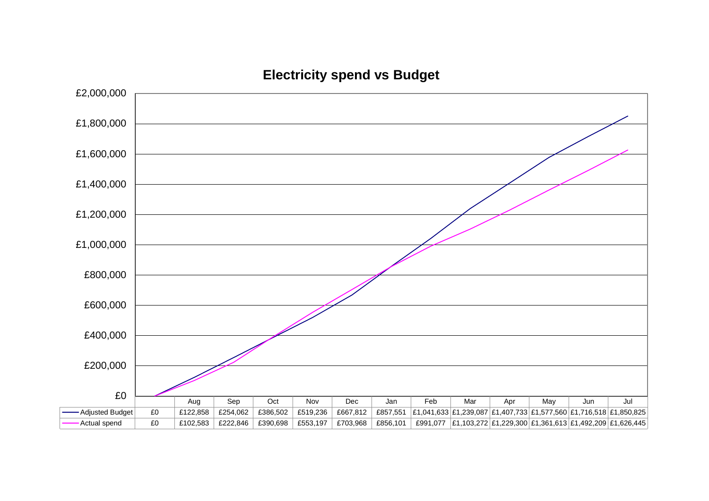

**Electricity spend vs Budget**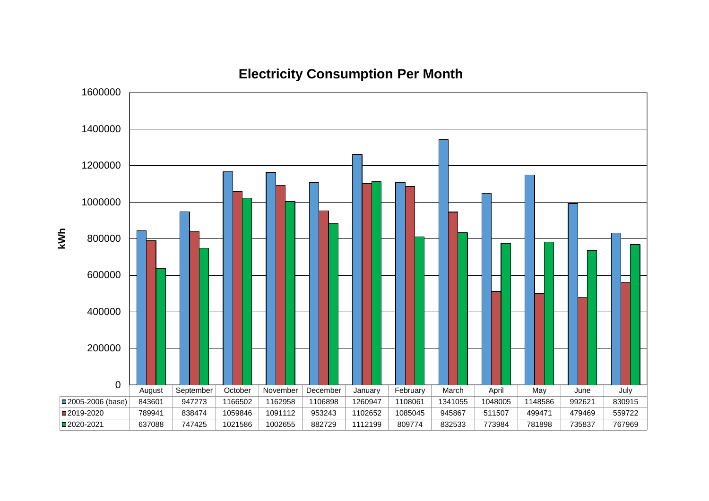

### **Electricity Consumption Per Month**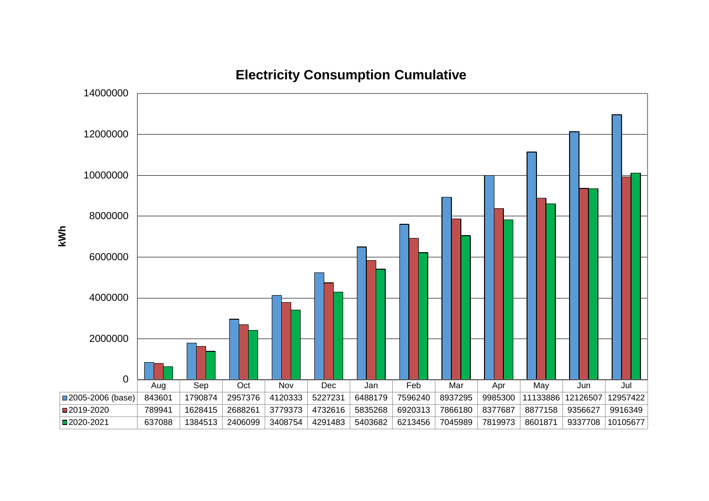

**Electricity Consumption Cumulative**

**kWh**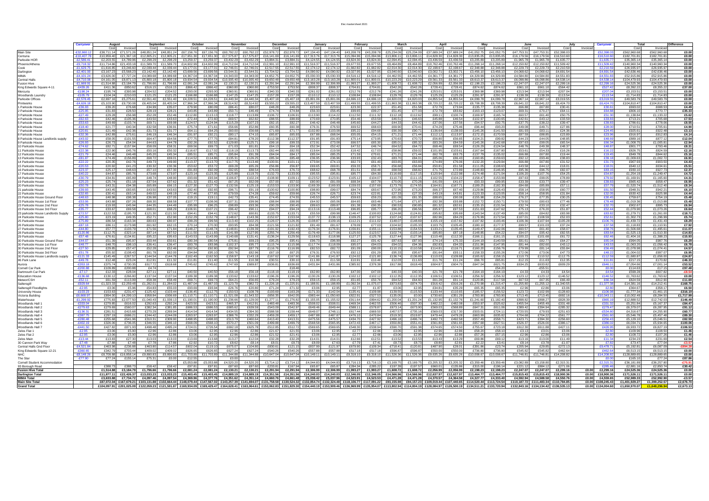#### Elec mastersheet 2021

|                                                     | Carryove                  |                                                |                       |                     |                         | Octobe                                  |                          |                                                                                                                                                |                          | Decembe                  |                          |                          | Januar                                      |                          | -ebruar                  |                         | Marc                                                                                                                                                                                                                           |                         |                          |                          |                        | June                     |                          |                        | Carryov                                       | Total                      |                         | )ifference        |
|-----------------------------------------------------|---------------------------|------------------------------------------------|-----------------------|---------------------|-------------------------|-----------------------------------------|--------------------------|------------------------------------------------------------------------------------------------------------------------------------------------|--------------------------|--------------------------|--------------------------|--------------------------|---------------------------------------------|--------------------------|--------------------------|-------------------------|--------------------------------------------------------------------------------------------------------------------------------------------------------------------------------------------------------------------------------|-------------------------|--------------------------|--------------------------|------------------------|--------------------------|--------------------------|------------------------|-----------------------------------------------|----------------------------|-------------------------|-------------------|
|                                                     |                           |                                                |                       | Cost                |                         |                                         |                          | Cost                                                                                                                                           |                          |                          |                          | Cost                     |                                             |                          |                          |                         |                                                                                                                                                                                                                                |                         |                          |                          |                        | Cost                     |                          |                        |                                               | Cost                       | Invoice                 |                   |
| <b>Main Site</b>                                    | £32.860.<br>$-610.407.78$ | £38.711.14 £71.571.26<br>£10.959.40 £21.367.18 |                       | £48.851.24          | £48.851.24              | £67.156.76<br>£17.651.30                | £67.156.76<br>£17.651.30 | £60,792.22                                                                                                                                     | £60,792.22<br>£17.575.87 | £52,978.72<br>£16,141.69 | £52,978.72<br>£16 141 69 | £47.134.40<br>£17 313 76 | £47.134.40<br>£17.313.76                    | £43.208.78<br>£15,094,96 | £43,208.78<br>£15,094.96 | £25.234.09<br>£13,806.1 | £25,234.09<br>£13.806.1                                                                                                                                                                                                        | £37.689.24<br>£14.828.3 | £37.689.24<br>£14.828.30 | £41.052.75<br>£13,835,05 | £41.052.<br>£13.835.05 | £47.753.31<br>£16,179.56 | £47.753.31<br>£16,179.56 | £52,398.0<br>£16.510.6 | £52,398.<br>£16,510                           | £562,960.68<br>£182.701.81 | £562,960.6<br>182,701.8 | £0.00<br>£0.00    |
| Centuria                                            | $-E2.586.41$              |                                                |                       | £12,805.21          | £12,805.21<br>£2.298.29 | £3.259.3                                | £3.259.37                | £17,575.87<br>£3.432.29                                                                                                                        | £3.432.29                | £3.884.3                 |                          |                          |                                             |                          | £3.824                   | £2.094.4                | £2.094.45                                                                                                                                                                                                                      | £3.436                  | £3.436.5                 |                          | £3.205.8               | £1.965.7                 | £1.965                   | £1.635                 | £1,635.                                       |                            |                         |                   |
| Parkside HOR<br>Phoenix/Athena                      | $-F9.718.32$              | £11.714.86                                     | F21.433.18            | £11.589.70          | £11.589.70              | £14.602.99                              | £14.602.99               | £14.712.04                                                                                                                                     | £14.712.04               | £12.991.10               | £12.991.1                | £11.516.3                | £11.516.37                                  | £9.677.55                | £9.677.                  | £8.464.89               | £8.464.89                                                                                                                                                                                                                      | £10.762.4               | 10.762.46                | £11,268.14               | £11.268.14             | £12,150.82               | £12.150.82               | £11.509.4              | £11.509.4                                     | £35,365.1<br>£140.960.34   | £35,365.1<br>140.960.3  | £0.00<br>£0.00    |
|                                                     | $-£1,629.75$              | £1.616.85                                      | £3.246.60             | £2.039.44           | f2.039.44               | £3.177.01                               | £3.177.01                | £2.746.01                                                                                                                                      | £2.746.01                | £2.517.55                | £2.517.55                | £2.174.12                | £2.174.12                                   | £1.662.82                | £1.662.8                 | £2,014.30               | £2,014.30                                                                                                                                                                                                                      | f2.198.f                | £2.198.67                | £2.348.88                | £2.348.88              | £2,229.73                | £2,229.73                | £2,210.59              | £2,210.5                                      | £26,935.97                 | £26,935.9               | £0.00             |
| Darlington                                          | $-52.401.00$              | £3.167.2                                       | £5.568.23             | £3.142.40           | £3.142.40               | £3.699.5                                | £3.699.56                | £3.544.31                                                                                                                                      | f3.544.3'                | £3.704.52                | £3.704.52                | £4.090.92                | £4.090.92                                   | £3.027.95                | £3.027.9                 | £3.040.60               | £3.040.60                                                                                                                                                                                                                      | £3.002.                 | £3.002.71                | £3.456.1                 | £3.456.1               | £4.068.62                | £4.068.62                | -4,691.5               | f4.691.                                       | £42,636.46                 | £42.636.4               | £0.00             |
| <b>MIMA</b>                                         | $-E4.101.24$              | £3,626.00                                      | £7.727.24             | £4.089.68           | £4.089.68               | £4.367.04                               | £4,367.04                | £4.343.00                                                                                                                                      | £4,343.00                | £4.652.75                | £4.652.7                 | £5,030.33                | £5,030.33                                   | £4.516.1                 | £4.516.1                 | £4,462.55               | £4,462.55                                                                                                                                                                                                                      | £4.361.                 | £4.361.77                | £4,329.99                | £4,329.99              | £4,584.80                | £4.584.80                | £4.551.8               | £4.551.8                                      | £52,915.86                 | £52,915.8               | £0.00             |
| <b>Central Halls</b>                                | $-E4.710.08$              | £4.161.05                                      | £8.871.13             | £5.800.18           | £5.800.18               | £9.934.54                               | £9.934.54                | £10.935.40                                                                                                                                     | £10.935.40               | £9.650.48                | £9.650.48                | £13.163.28               | £13,163.28                                  | £11.800.01               | £11.800.01               | £10,223.29              | £10,223.29                                                                                                                                                                                                                     | £9.561.3                | £9.561.33                | £8.613.37                | £8,613.37              | £6,098.86                | £6,098.86                | 24.538.1               | £4,538.1                                      | £104.479.93                | 104,479.9               | £0.00             |
| <b>Fusion Hive</b>                                  | $-£1.669.91$              | £1.514.88                                      | £3.184.79             | £1.796.66           | £1.796.66               | £2.081.24                               | £2.081.24                | £2,130.21                                                                                                                                      | £2,130.21                | £2.291.94                | £2.291.94                | £2,306.99                | £2.306.99                                   | 1,993.27                 | £1,993.27                | £1,608.7                | £1.608.72                                                                                                                                                                                                                      | £2.056.99               | £2,056.99                | £2,198.23                | £2.198.23              | £2,247.07                | £2,247.07                | £2.299.1               | £2.299.1                                      | £24.525.36                 | £24.525.3               | £0.00             |
| King Edwards Square 4-11                            | $-E439.26$                | £411.36                                        | £850.62               | £516.15             | £516.15                 | £866.42                                 | £866.42                  | £960.80                                                                                                                                        | £960.80                  | £753.50                  | £753.50                  | £808.3                   | £808.37                                     | £704.8                   | £704.81                  | £542.26                 | £542.26                                                                                                                                                                                                                        | £728.4                  | £728.41                  | £874.62                  | £874.62                | £661.10                  | £661.10                  | £564.42                | £527.42                                       | £8,392.22                  | £8,355.2                | £37.00            |
| Mercuria                                            | $-£198.24$                | £195.74                                        | £393.98               | £204.52             | £204.52                 | £293.00                                 | £293.00                  | £360.91                                                                                                                                        | £360.91                  | £340.33                  | £340.33                  | £261.02                  | £261.02                                     | £212.76                  | £212.76                  | £241.26                 | £241.26                                                                                                                                                                                                                        | £253.0                  | £253.01                  | £369.98                  | £369.98                | £213.94                  | £213.94                  | £207.04                | £207.0                                        | £3,153.51                  | £3,153.5                | £0.00             |
| Woodlands Laundr                                    | $-£105.79$                | £104.24                                        | £210.03               | £121.25             | £121.25                 | £166.88                                 | £166.88                  | £147.25                                                                                                                                        | £147.25                  | £157.28                  | £157.28                  | £110.12                  | £110.12                                     | £108.84                  | £108.84                  | £129.7                  | £129.78                                                                                                                                                                                                                        | £125.2                  | £125.29                  | £291.97                  | £291.97                | £138.39                  | £138.39                  | £113.54                | £113.5                                        | £1,714.83                  | £1,714.83               | £0.00             |
| Parkside Offices                                    | $-E2,578.45$              | £2,697.16                                      | £5,275.61             | £2,551.40           | £2.551.40               | £4,228.51                               | £4,228.51                | £4.440.34                                                                                                                                      | £4.440.34                | £5,407.18                | £5,407.18                | £5,801.06                | £5,801.06                                   | £4,696.10                | £4.696.1                 | £4,820.0:               | £4,820.03                                                                                                                                                                                                                      | £4,855.5                | £4,855.54                | £4,099.78                | £4,099.78              | £2.967.14                | £2,967.14                | £3,019.55              | £3.019.5                                      | £49,583.79                 | £49.583.7               | £0.00             |
| Printworks                                          | £4,626.1                  | £5,103.90                                      | £9,730.08             | £6,405.04           | 06,405.04               | 27,966.34                               | £7,966.34                | £8,514.92                                                                                                                                      | £8,514.92                | £9,555.22                | £9,555.22                | £13,407.59               | 13,407.59                                   | 11,499.55                | £11,499.5                | £11,863.3               | 11,863.38                                                                                                                                                                                                                      | £8,720.2                | £8,720.22                | £8,708.39                | £8,708.39              | £6,641.22                | £6,641.22                | 26,424.7               | £6,424.7                                      | 104,810.47                 | 104,810.4               | £0.00             |
| <b>Parkside House</b><br>2 Parkside House           | $-£36.93$<br>$-E25.95$    | £39.20<br>£31.83                               | £76.68<br>£28.50      | £34.99<br>£28.19    | £35.07<br>£28.21        | £79.90<br>£43.85                        | £80.09<br>£43.89         | £86.41<br>£50.71                                                                                                                               | £80.07<br>£46.49         | £48.28<br>£74.74         | £48.26<br>£74.84         | £23.6<br>£56.33          | £23.61<br>£56.45                            | £23.30<br>£99.65         | £22.3<br>£99.27          | £51.45<br>£51.45        | £51.58<br>£77.03                                                                                                                                                                                                               | £72.7<br>£72.7          | £73.94<br>£83.82         | £135.77<br>£163.13       | £135.38<br>£123.07     | £66.88<br>£69.31         | £67.80<br>£70.27         | £30.41<br>£64.1        | £30.6<br>£64.8                                | £693.02<br>£806.1          | £688.5<br>£770.7        | £4.49<br>£35.33   |
| 3 Parkside House                                    | $-E27.49$                 | £29.28                                         | £56.98                | £52.28              | £52.46                  | £112.80                                 | £113.13                  | £118.77                                                                                                                                        | £113.89                  | £106.72                  | £106.91                  | £113.90                  | £114.22                                     | £112.50                  | £111.3                   | £112.18                 | £112.6                                                                                                                                                                                                                         | £99.1                   | £100.74                  | £169.97                  | £165.74                | £60.57                   | £61.40                   | £50.7                  | £51.3                                         | £1,138.84                  | £1,133.2                | £5.62             |
| 4 Parkside House                                    | $-E62.63$                 | £42.46                                         | £105.36               | £43.50              | £43.63                  | £72.44                                  | £72.60                   | £69.57                                                                                                                                         | £62.82                   | £88.55                   | £88.69                   | £70.69                   | £70.85                                      | £54.46                   | £53.59                   | £46.51                  | £46.63                                                                                                                                                                                                                         | £45.88                  | £46.54                   | £102.97                  | £100.65                | £42.61                   | £43.12                   | £33.5                  | £33.8                                         | £713.21                    | £705.68                 | £7.53             |
| 5 Parkside House                                    | $-E53.63$                 | £49.69                                         | £103.74               | £69.71              | £69.98                  | £124.57                                 | £124.94                  | £115.29                                                                                                                                        | £107.23                  | £82.15                   | £82.2                    | £46.42                   | £46.48                                      | £45.60                   | £44.2                    | £44.33                  | f44.42                                                                                                                                                                                                                         | £37.06                  | £37.56                   | £94.5                    | £92.75                 | £37.75                   | £38.22                   | £39.47                 | £39.8                                         | £786.61                    | £778.0                  | £8.55             |
| 6 Parkside House                                    | $-£18.40$                 | £21.77                                         | £40.34                | £32.58              | £36.9′                  | £75.74                                  | £71.61                   | £56.66                                                                                                                                         | £52.86                   | £60.35                   | £60.3                    | £76.3                    | £76.50                                      | £69.5                    | £68.6                    | £69.90                  | £70.41                                                                                                                                                                                                                         | £74.2                   | £75.46                   | £96.44                   | £93.20                 | £49.08                   | £49.7                    | £27.8                  | £28.0                                         | £710.5                     | £705.6                  | £4.90             |
| 7 Parkside House                                    | $-E20.81$                 | £21.49                                         | £42.36                | £31.73              | £31.77                  | £64.11                                  | £64.25                   | £60.00                                                                                                                                         | £56.68                   | £71.69                   | £71.7                    | £102.80                  | 103.08                                      | £95.22                   | £94.6                    | £90.39                  | £90.7                                                                                                                                                                                                                          | £136.6                  | £138.93                  | £145.26                  | £141.5                 | £81.93                   | £83.11                   | £24.36                 | £24.4                                         | £925.6                     | £922.48                 | £3.13             |
| 8 Parkside House                                    | $-£32.36$                 | £42.89                                         | £75.61                | £46.19              | £46.34                  | £91.97                                  | £92.21                   | £80.17                                                                                                                                         | £74.10                   | £65.87                   | £65.93                   | £67.88                   | £68.04                                      | £55.05                   | £54.1                    | £71.21                  | £71.44                                                                                                                                                                                                                         | £112.1                  | £113.97                  | £172.15                  | £170.59                | £87.59                   | £88.85                   | £23.89                 | £23.9                                         | £916.97                    | £912.83                 | £4.14             |
| 8 Parkside House Landlords supply                   | $-E43.02$                 | £58.05                                         | £101.5                | £64.47              | £64.56                  | £77.75                                  | £77.7                    | £84.81                                                                                                                                         | £78.20                   | £112.38                  | £112.3                   | £91.8                    | £91.83                                      | £75.14                   | £73.9                    | £70.63                  | £70.7                                                                                                                                                                                                                          | £56.8                   | £56.65                   | £104.21                  | £99.82                 | £44.23                   | £44.05                   | £48.8                  | f48.6                                         | £889.1                     | £877.1                  | £12.04            |
| 9 Parkside House                                    | $-526.93$                 | £26.7                                          | £54.04                | £44.63              | £44.78                  | £92.26                                  | £92.52                   | -129.80                                                                                                                                        | 125.71                   | £99.16                   | £99.33                   | £72.91                   | £73.08                                      | £66.5                    | £65.3                    | £85.01                  | £85.3                                                                                                                                                                                                                          | £83.2                   | £84.59                   | £145.26                  | £142.68                | £97.63                   | £99.05                   | £65.54                 | £66.3                                         | 1.008.7                    | 1.005.8                 | £2.94             |
| 10 Parkside House                                   | $-E74.62$                 | £82.71<br>£22.90                               | £157.84               | £58.09<br>£50.16    | £58.31<br>£50.32        | £69.56<br>£116.67                       | £69.73<br>£117.02        | £71.03<br>£118.19                                                                                                                              | £61.81<br>£113.73        | £64.13<br>£82.44         | £64.18                   | £52.34<br>£19.64         | £52.42<br>£19.58                            | £47.52<br>£18.42         | £46.74<br>f17.0          | £64.52<br>£58.86        | £64.72<br>f59.0                                                                                                                                                                                                                | £68.46<br>£101.9        | £69.54                   | £126.29<br>£167.64       | £124.54<br>£167.80     | £48.76<br>£53.61         | £49.38<br>£54.33         | £48.37                 | £48.8<br>£16.2                                | £801.77<br>£826.7          | £793.46<br>£824.5       | £8.31<br>£2.16    |
| 11 Parkside House<br>12 Parkside House              | $-E22.38$<br>$-E21.79$    | £24.46                                         | £45.76<br>£46.48      | £45.20              | £45.34                  | £85.51                                  | £85.71                   | £95.84                                                                                                                                         | £91.39                   | £84.04                   | £82.55<br>£84.1          | £85.04                   | £85.25                                      | £71.59                   | £70.61                   | £71.21                  | £71.44                                                                                                                                                                                                                         | £62.7                   | £103.61<br>£63.75        | £137.79                  | £135.02                | £66.88                   | £67.80                   | £16.26<br>£19.44       | £194                                          | £849.7                     | £844.6                  | £5.16             |
| 13 Parkside House                                   | $-£81.87$                 | £74.49                                         | £156.89               | £68.72              | £69.01                  | £114.52                                 | £114.86                  | £135.31                                                                                                                                        | £126.25                  | £85.34                   | £85.48                   | £36.95                   | £36.96                                      | £33.93                   | £32.43                   | £83.70                  | £84.0                                                                                                                                                                                                                          | £85.0                   | £86.43                   | £160.65                  | £159.63                | £92.12                   | £93.46                   | £38.8                  | £39.1                                         | 1,009.63                   | 1,002.7                 | £6.91             |
| 14 Parkside House                                   | $-E22.22$                 | £20.35                                         | £42.76                | £49.73              | £49.90                  | £113.37                                 | £113.70                  | £117.75                                                                                                                                        | £113.46                  | £100.91                  | £101.11                  | £73.94                   | £74.13                                      | £62.73                   | £61.40                   | £63.65                  | £63.83                                                                                                                                                                                                                         | £74.89                  | £76.06                   | £132.20                  | £129.84                | £66.88                   | £67.80                   | £31.52                 | £31.7                                         | £907.93                    | £903.50                 | £4.43             |
| 15 Parkside House                                   | $-E20.53$                 | £20.92                                         | £41.23                | £30.32              | £30.36                  | £53.62                                  | £53.72                   | £69.28                                                                                                                                         | £65.26                   | £56.86                   | £56.87                   | £69.65                   | £69.81                                      | £59.33                   | £58.71                   | £56.68                  | £56.84                                                                                                                                                                                                                         | £50.8                   | £51.58                   | £111.05                  | £108.63                | £43.58                   | £44.12                   | £18.01                 | £18.01                                        | £640.12                    | £634.6                  | £5.51             |
| 16 Parkside House                                   | $-E23.37$                 | £25.17                                         | £48.63                | £57.10              | £57.30                  | £91.83                                  | £92.09                   | £92.65                                                                                                                                         | £88.54                   | £76.63                   | £76.72                   | £68.62                   | £68.78                                      | £51.51                   | £50.48                   | £68.59                  | £68.82                                                                                                                                                                                                                         | £71.7                   | £72.89                   | £148.83                  | £146.95                | £95.36                   | £96.75                   | £82.07                 | <b>£831</b>                                   | £930.1                     | £927.7                  | £2.37             |
| 17 Parkside House                                   | $-E40.22$                 | £44.87                                         | £85.76                | £73.68              | £73.97                  | £123.14                                 | £123.35                  | £125.88                                                                                                                                        | £119.70                  | £132.73                  | £133.00                  | £95.55                   | £95.81                                      | £85.77                   | £84.3                    | £116.69                 | £117.15                                                                                                                                                                                                                        | £120.9                  | £122.98                  | £174.48                  | £171.04                | £106.20                  | £107.76                  | £54.25                 | £54.8                                         | £1,254.19                  | £1,249.4                | £4.72             |
| 18 Parkside House                                   | $-£30.79$                 | £34.81                                         | £65.89                | £48.74              | £48.90                  | £93.69                                  | £93.94                   | £106.87                                                                                                                                        | £102.24                  | £108.90                  | £109.1                   | £123.52                  | £123.91                                     | £105.12                  | £104.0                   | £110.73                 | £111.15                                                                                                                                                                                                                        | £102.5                  | £104.22                  | £158.47                  | £153.99                | £97.63                   | £99.05                   | £78.89                 | £79.9                                         | £1,169.9                   | £1.165.60               | £4.31             |
| 19 Parkside House                                   | $-E25.23$                 | £25.74                                         | £51.18                | £37.54              | £37.62                  | £51.32                                  | £51.42                   | £67.25                                                                                                                                         | £62.09                   | £57.00                   | £57.02                   | £80.90                   | £81.09                                      | £68.34                   | £67.78                   | £70.05                  | £70.28                                                                                                                                                                                                                         | £41.09                  | £41.67                   | £93.33                   | £89.95                 | £33.39                   | £33.77                   | £39.47                 | £39.8                                         | £665.42                    | £658.47                 | £6.95             |
| 20 Parkside House                                   | $-£50.78$                 | £43.31                                         | £94.38                | £65.89              | £66.15                  | £127.30                                 | £127.70                  | £132.56                                                                                                                                        | £125.19                  | £153.53                  | £153.90                  | £169.39                  | £169.93                                     | £159.03                  | £157.69                  | £173.79                 | £174.55                                                                                                                                                                                                                        | £164.9                  | £167.71                  | £189.25                  | £182.30                | £84.68                   | £85.89                   | £57.1                  | £57.7                                         | £1,520.74                  | £1,512.4                | £8.34             |
| 21 parkside House                                   | $-E39.93$                 | £43.45                                         | £83.65                | £43.50              | £43.63                  | £92.40                                  | £92.65                   | £96.71                                                                                                                                         | £91.19                   | £100.62                  | £100.80                  | £98.80                   | £99.07                                      | £84.74                   | £83.67                   | £72.95                  | £73.20                                                                                                                                                                                                                         | £66.3                   | £67.40                   | £129.86                  | £126.43                | £58.14                   | £58.95                   | £60.77                 | £61.5                                         | £948.3                     | £942.2                  | £6.10             |
| 22 Parkside House<br>23 Parkside House Ground Floor | $-£32.65$<br>$-E48.63$    | £30.41<br>£48.98                               | £63.14<br>£98.38      | £49.02<br>£36.98    | £49.19<br>£37.05        | £77.46<br>£19.15                        | £77.65<br>£19.11         | £79.59<br>£42.73                                                                                                                               | £74.28<br>£35.41         | £59.62<br>£74.45         | £59.66<br>£74.55         | £26.74<br>£45.53         | £26.7′<br>£45.57                            | £23.74<br>£59.63         | £22.81<br>£59.23         | £27.33<br>£81.09        | £27.3<br>£81.35                                                                                                                                                                                                                | £43.1<br>£88.65         | £43.81<br>£90.08         | £123.33<br>£155.98       | £123.05<br>£154.29     | £58.14<br>£76.27         | £58.95<br>£77.35         | £31.84<br>£30.25       | £32.0<br>£30.4                                | £630.42<br>£759.67         | £625.9<br>£754.1        | £4.44<br>£5.48    |
| 23 Parkside House 1st Floor                         | $-£53.06$                 | £43.88                                         | £97.26                | £68.30              | £68.58                  | £107.77                                 | £108.06                  | £107.31                                                                                                                                        | £99.96                   | £88.84                   | £88.99                   | £64.92                   | £65.06                                      | £64.65                   | £63.46                   | £71.64                  | £71.87                                                                                                                                                                                                                         | £92.38                  | £93.88                   | £152.72                  | £150.71                | £79.50                   | £80.63                   | £77.46                 | £78.4                                         | £1,019.36                  | £1,013.88               | £5.48             |
| 23 Parkside House 2nd Floor                         | $-E25.78$                 | £19.93                                         | £45.94                | £44.35              | £44.49                  | £95.99                                  | £96.25                   | £98.89                                                                                                                                         | £93.36                   | £90.29                   | £90.45                   | £89.63                   | £89.87                                      | £91.38                   | £90.3                    | £90.5                   | £90.85                                                                                                                                                                                                                         | £81.3                   | £82.61                   | £135.15                  | £131.54                | £32.74                   | £33.10                   | £32.47                 | £32.7                                         | £902.67                    | £895.7                  | £6.94             |
| 23 Parkside House 3rd Floor                         | $-£35.77$                 | £33.67                                         | £69.58                | £68.0               | £68.29                  | £106.91                                 | £107.2                   | £96.42                                                                                                                                         | £90.1                    | £94.07                   | £94.24                   | £113.1                   | £113.48                                     | £96.85                   | £95.7                    | £96.2                   | £96.56                                                                                                                                                                                                                         | £95.9                   | £97.53                   | £151.63                  | £147.62                | £75.13                   | £76.20                   | £51.87                 | £52.4                                         | £1.079.90                  | £1,073.2                | £6.64             |
| 23 parkside House Landlords Supply                  | $-£72.57$                 | £122.53                                        | £195.7                | £121.30             | £121.50                 | £94.41                                  | £94.41                   | £72.6                                                                                                                                          | £60.81                   | £133.7                   | £133.7                   | £55.5                    | £99.98                                      | £146.47                  | £100.8                   | £124.68                 | £124.81                                                                                                                                                                                                                        | £95.8                   | £95.69                   | £143.54                  | £137.49                | £85.00                   | £84.82                   | £83.98                 | <b>F838</b>                                   | £1,279.7                   | £1,261.0                | £18.71            |
| 24 Parkside House                                   | $-E25.80$                 | £23.1                                          | £49.3                 | £52.71              | £52.90                  | £152.29                                 | £152.79                  | £148.67                                                                                                                                        | £143.36                  | £152.6                   | £153.04                  | £137.                    | £138.13                                     | £109.2                   | £107.                    | £107.2                  | £107.6                                                                                                                                                                                                                         | £82.9                   | £84.29                   | £176.99                  | £172.54                | £107.01                  | £108.59                  | £52.0                  | £52.6                                         | £1,302.1                   | £1,296.9                | £5.74             |
| 25 Parkside House                                   | $-E75.89$                 | £86.54                                         | £163.34               | £80.63              | £80.97                  | £99.29                                  | £99.56                   | £113.40                                                                                                                                        | £102.25                  | £126.07                  | £126.35                  | £108.8                   | £109.16                                     | £112.21                  | £111.0                   | £148.0                  | £148.69                                                                                                                                                                                                                        | £155.1                  | £157.82                  | £197.82                  | £193.46                | £106.36                  | £107.94                  | £105.28                | £106.7                                        | £1,439.7                   | £1.431.4                | £8.29             |
| 26 Parkside House                                   | $-E87.18$                 | £86.11                                         | £173.98               | £61.92              | £62.15                  | £70.14                                  | £70.30                   | £93.95                                                                                                                                         | £84.38                   | £121.56                  | £121.82                  | £81.49                   | £81.67                                      | £78.09                   | £77.0                    | £104.9                  | £105.3                                                                                                                                                                                                                         | £103.7                  | £105.45                  | £180.1(                  | £177.37                | £99.57                   | £101.03                  | £37.24                 | £37.5                                         | £1,118.83                  | £1,110.9                | £7.92             |
| 27 Parkside House                                   | $-E44.80$                 | £57.77                                         | £103.79               | £71.56              | £71.84                  | £148.27                                 | £148.74                  | £148.81                                                                                                                                        | 139.39                   | £191.9                   | £192.43                  | £176.34                  | 176.9                                       | £156.8                   | £155.1                   | £153.8                  | £154.5                                                                                                                                                                                                                         | £133.2                  | £135.45                  | 149.47                   | £142.06                | £60.57                   | £61.4                    | £58.0                  | £58<br><b>£836</b>                            | £1.506.68                  | 1,495.6                 | £11.07            |
| 28 Parkside House<br>29 Parkside House              | $-£120.86$<br>$-£57.48$   | £112.7<br>£76.61                               | £323.14<br>£134.81    | £87.14<br>£95.22    | F87.52<br>F95.63        | £111.50<br>£143.53                      | £111.83<br>£143.99       | £141.99<br>£140.68                                                                                                                             | £127.95<br>£131.41       | £255.74<br>£136.24       | £256.49<br>£129.56       | £176.49<br>£118.63       | £177.06<br>£118.98                          | £125.50<br>£127.27       | £123.5<br>£125.78        | £102.74<br>£127.44      | £103.14<br>£127.96                                                                                                                                                                                                             | £85.8<br>£110.4         | £87.18<br>£112.30        | £148.85<br>£166.1        | £54.22<br>£161.15      | £94.07<br>£100.22        | £95.42<br>£101.68        | £82.5<br>£61.7         | £62.4                                         | £1,525.1<br>£1.404.16      | £1.510.3<br>£1.388.2    | £14.83<br>£15.93  |
| 30 Parkside House Ground Floor                      | $-E44.07$                 | £51.39                                         | £95.97                | £50.44              | £50.61                  | £80.34                                  | £80.54                   | £75.81                                                                                                                                         | £69.23                   | £95.25                   | £95.41                   | £96.73                   | £96.99                                      | £92.27                   | £91.42                   | £87.63                  | £87.93                                                                                                                                                                                                                         | £74.14                  | £75.33                   | £144.19                  | £140.59                | £81.61                   | £82.7                    | £64.2                  | £65.04                                        | £994.05                    | £987.7                  | £6.29             |
| 30 Parkside House 1st Floor                         | $-E48.77$                 | £48.7                                          | £98.10                | £36.41              | £36.47                  | £83.78                                  | £83.98                   | £102.37                                                                                                                                        | £95.77                   | £115.74                  | £115.98                  | £117.74                  | £118.09                                     | £95.07                   | £94.03                   | £94.02                  | £94.36                                                                                                                                                                                                                         | £92.8                   | £94.33                   | £151.96                  | £147.95                | £81.44                   | £82.60                   | £43.1                  | f43.5                                         | £1,063.20                  | 1,056.4                 | £6.78             |
| 30 Parkside House 2nd Floor                         | $-E27.50$                 | £29.85                                         | £57.47                | £52.28              | £52.46                  | £92.54                                  | £92.80                   | £92.94                                                                                                                                         | £87.79                   | £116.76                  | £116.99                  | £82.53                   | £82.72                                      | £91.09                   | £90.00                   | £110.15                 | £110.58                                                                                                                                                                                                                        | £114.81                 | £116.71                  | £160.20                  | £156.76                | £79.99                   | £81.14                   | £55.84                 | £56.4                                         | £1.078.98                  | 1.074.41                | £4.57             |
| 30 Parkside House 3rd Floor                         | $-£51.78$                 | £55.92                                         | £108.43               | £61.78              | £62.00                  | £94.84                                  | £95.10                   | £90.76                                                                                                                                         | £82.96                   | £67.19                   | £67.2                    | £76.31                   | £76.50                                      | £92.12                   | £91.29                   | £95.3                   | £95.67                                                                                                                                                                                                                         | £91.6                   | £93.11                   | £158.33                  | £155.26                | £72.06                   | £73.06                   | £47.73                 | £48.2                                         | £1,004.02                  | £997.0                  | £6.95             |
| 30 Parkside House Landlords supply                  | $-E121.33$                | £145.49                                        | £267.57               | £144.54             | £144.78                 | £162.49                                 | £162.50                  | £158.97                                                                                                                                        | £143.18                  | £167.62                  | £167.60                  | £141.86                  | £141.87                                     | £124.02                  | £121.80                  | £136.74                 | £136.89                                                                                                                                                                                                                        | £110.0                  | £109.88                  | £165.62                  | £158.15                | £110.73                  | £110.52                  | £112.7                 | £112.5                                        | £1.680.87                  | 21.656.0                | £24.87            |
| 96 Park Lane                                        | $-E49.78$                 | £12.48                                         | £23.24                | £12.91              | £11.32                  | £11.81                                  | £11.40                   | £11.55                                                                                                                                         | £10.38                   | £30.51                   | £30.10                   | £11.99                   | £11.58                                      | £10.91                   | £10.46                   | £12.03                  | £11.63                                                                                                                                                                                                                         | £11.7                   | £11.24                   | £66.70                   | £65.81                 | £12.15                   | £11.63                   | £12.35                 | £11.8                                         | £217.15                    | £170.82                 | £46.33            |
| Aurora                                              | $-£353.18$                | £375.74                                        | £730.35               | £617.72             | £618.68                 | £745.62                                 | £745.62                  | £747.69                                                                                                                                        | £689.87                  | £636.81                  | £636.69                  | £431.84                  | £431.86                                     | £385.92                  | £376.38                  | £617.88                 | £618.49                                                                                                                                                                                                                        | £604.8                  | £604.70                  | £647.04                  | £621.75                | £634.25                  | £633.82                  | £609.29                | £646.1                                        | £7,054.66                  | £7,001.1                | £53.52            |
| Cornell Car Park                                    | $-E200.88$<br>$-E7.17$    | £109.89                                        | £200.88               | £4.74               |                         |                                         |                          |                                                                                                                                                |                          |                          | £18.46                   |                          |                                             |                          |                          |                         |                                                                                                                                                                                                                                |                         |                          |                          | £54.20                 |                          | $-£55.5^{\circ}$         |                        | <b>FO O</b><br>£4.54                          | £114.63                    | £17.1                   | £97.48            |
| Dartmouth Car Park<br><b>Education House</b>        | $-£136.68$                | £12.33<br>£130.12                              | £28.04<br>£266.80     | £27.11<br>£137.04   | £27.11<br>£137.04       | £40.50<br>£189.38                       | £40.50<br>£189.38        | £56.18<br>£133.62                                                                                                                              | £56.18<br>£133.62        | £118.19<br>£196.26       | £118.19<br>£196.26       | £62.80<br>£130.26        | £62.80<br>£130.26                           | £47.0<br>£102.12         | £47.0<br>£102.1          | £40.3<br>£112.35        | £40.3<br>£112.35                                                                                                                                                                                                               | £21.7<br>£106.5         | £21.78<br>£106.51        | £164.19<br>£256.32       | £164.1<br>£256.32      | £4.33<br>£123.12         | £4.33<br>£123.12         | £4.54<br>£146.52       | £146.5                                        | £599.28<br>£1,763.62       | £607.8<br>£1,763.62     | $-£8.54$<br>£0.00 |
| Meteor/CSH                                          | $-£52.11$                 | £61.59                                         | £113.99               | £58.38              | £58.49                  | £69.7                                   | £69.73                   | £64.21                                                                                                                                         | £56.65                   | £79.24                   | £79.23                   | £59.1                    | £59.15                                      | £51.65                   | £50.7                    | f64.5                   | £64.60                                                                                                                                                                                                                         | £61.2                   | £61.14                   | £120.85                  | £117.58                | £67.53                   | £67.35                   | £66.49                 | £66.3                                         | £824.59                    | £812.90                 | £11.69            |
| Saltersgill                                         | $-E929.64$                | £1,323.33                                      | £2,259.48             | £1,282.0            | 1,284.02                | 1,487.04                                | £1,487.0                 | £1,123.79                                                                                                                                      | £982.72                  | 1,226.18                 | £1,225.91                | .188.9                   | 188.89                                      | 1,092.34                 | £1,075.0                 | £873.8                  | £874.7                                                                                                                                                                                                                         | £916.4                  | £916.26                  | £1,270.98                | 1,215.47               | £1,255.80                | 1,255.12                 | :1,340.55              | £1,377.3                                      | 14,381.1                   | £14,212.4               | £168.75           |
| Saltersgill Floodlight                              | $-E2.95$                  | £3.06                                          | £5.96                 | £54.83              | £55.03                  | £93.69                                  | £93.9                    | £26.7                                                                                                                                          | £20.80                   | £71.24                   | £71.3                    | £3.00                    | £2.95                                       | £2.77                    | f1.8                     | £3.0                    | £2.95                                                                                                                                                                                                                          | £34.8                   | £35.29                   | £65.35                   | £65.35                 | £2.96                    | £2.86                    | £3.0                   | £2.8                                          | £364.67                    | £358.1                  | £6.50             |
| <b>University House</b>                             | $-£103.23$                | £153.63                                        | £231.47               | £125.42             | F103.44                 | £136.45                                 | £112.7                   | £150.5                                                                                                                                         | £108.7                   | £193.69                  | £163.2                   | £171.3                   | £142.04                                     | £135.41                  | £109.9                   | £139.5                  | £115.50                                                                                                                                                                                                                        | £133.44                 | £110.65                  | £185.5                   | £156.5                 | £123.72                  | £102.99                  | £128.60                | £106.9                                        | £1,777.34                  | 1,461.1                 | £316.19           |
| Victoria Building                                   | 6,668.97                  | £894.00                                        | £4.299.               | £958.84             | £936.69                 | £1.110.7                                | £1.110.7                 | £1.521.08                                                                                                                                      | £1.543.32                | £656.3                   | £642.0                   | £983.44                  | 050.60,                                     | £822.91                  | £527.5                   | £135.                   | f(0,0)                                                                                                                                                                                                                         | £730.6                  | £351.29                  | £783.9                   | £783.90                | £713.45                  | £713.45                  | £692.1                 | £10,343.                                      | £10,002.49                 | :8,284.                 | E1,717.99         |
| Waterhouse                                          | £1,299.9.                 | £775.83                                        | £2,077.50             | £1.040.43           | 1.039.13                | £1.190.0                                | £1.190.00                | £1.236.66                                                                                                                                      | £1.129.00                | 1.277.1                  | £1,276.82                | £1.155.0!                | 1.155.02                                    | £911.64                  | £894.6                   | £1,200.04               | £1,201.24                                                                                                                                                                                                                      | £1,132.9                | £1,132.76                | £1.241.6                 | £1,182.40              | £898.82                  | £898.27                  | £828.39                | £865.                                         | £12,888.5                  | £12,742.0               | £146.49           |
| Woodlands Hall                                      | $-£333.04$                | £279.85                                        | £616.02               | £292.63             | £292.24                 | £423.5                                  | £423.51                  | £465.3                                                                                                                                         | £412.91                  | £483.48                  | £483.36                  | £508.                    | £508.01                                     | £469.34                  | £462.5                   | £506.46                 | £507.3                                                                                                                                                                                                                         | £482.2                  | £482.08                  | £553.9                   | £525.6                 | £455.54                  | £455.49                  | £331.48                | £331.3                                        | £5,251.84                  | £5,167.3                | £84.47            |
| Woodlands Hall 2<br>Woodlands Hall 3                | $-E279.63$<br>$-£136.31$  | £279.69<br>£281.51                             | £560.07<br>£415.68    | £382.34<br>£270.29  | £381.85<br>£269.94      | £686.53<br>£414.54                      | £686.53<br>£414.54       | £685.62<br>£434.55                                                                                                                             | £639.59<br>£394.30       | £543.09<br>£588.58       | £542.97<br>£158.44       | £649.46<br>£649.07       | £649.44<br>£748.11                          | £588.1<br>£617.44        | £578.87<br>£669.50       | £673.14<br>£457.57      | £673.9<br>£735.16                                                                                                                                                                                                              | £569.0<br>£569.03       | £568.89<br>£317.30       | £647.31<br>£503.01       | £611.06<br>£724.11     | £389.42<br>$-E720.55$    | £394.94<br>£79.93        | £285.32<br>£251.63     | £279.47<br>$-£534.8$                          | £6,379.07<br>£4,316.67     | £6,287.95<br>£4,255.90  | £91.12<br>£60.77  |
| Woodlands Hall 4                                    | $-£387.75$                | £297.19                                        | £686.21               | £244.42             | £244.09                 | £263.97                                 | £263.97                  | £388.76                                                                                                                                        | £332.29                  | £459.28                  | £459.17                  | £487.88                  | £487.87                                     | £476.10                  | £470.84                  | £519.30                 | £519.87                                                                                                                                                                                                                        | £479.44                 | £479.28                  | £663.99                  | £635.82                | £704.68                  | £704.22                  | £561.77                | £561.60                                       | £5,546.78                  | £5,457.48               | £89.30            |
| Woodlands Hall 5                                    | $-E280.48$                | £255.68                                        | £541.96               | £310.31             | £309.90                 | £498.95                                 | £498.93                  | £513.79                                                                                                                                        | £460.64                  | £413.40                  | £413.31                  | £475.56                  | £475.57                                     | £434.70                  | £427.92                  | £496.18                 | £496.74                                                                                                                                                                                                                        | £492.73                 | £492.58                  | £557.49                  | £558.71                | £423.71                  | £394.30                  | £256.60                | £256.43                                       | £5,129.10                  | £5,046.51               | £82.59            |
| Woodlands Hall 6                                    | $-£402.19$                | £326.06                                        | £736.05               | £346.55             | £346.10                 | £568.09                                 | £568.10                  | £570.27                                                                                                                                        | £501.09                  | £499.88                  | £499.79                  | £568.58                  | £565.95                                     | £472.43                  | £467.17                  | £550.80                 | £551.41                                                                                                                                                                                                                        | £561.80                 | £561.65                  | £657.68                  | £627.51                | £526.37                  | £526.00                  | £386.17                | £386.02                                       | £6,034.71                  | £5,934.65               | £100.06           |
| Woodlands Hall 7                                    | $-£441.50$                | £427.82                                        | £871.93               | £498.48             | £495.24                 | £724.01                                 | £726.54                  | £692.18                                                                                                                                        | £625.78                  | £512.85                  | £512.72                  | £569.65                  | £569.65                                     | £548.30                  | £538.94                  | £590.70                 | £591.38                                                                                                                                                                                                                        | £574.65                 | £574.50                  | £755.67                  | £723.18                | £612.30                  | £611.88                  | £427.11                | £426.95                                       | £6,933.72                  | £6,827.19               | £106.53           |
| Zelos Flat 1                                        | $-E2.95$                  | £3.06                                          | £5.90                 | £2.96               | £2.86                   | £3.06                                   | £2.95                    | £2.96                                                                                                                                          | £2.86                    | £21.67                   | £21.55                   | £3.06                    | £2.95                                       | £2.77                    | £2.66                    | £3.06                   | £2.95                                                                                                                                                                                                                          | £2.96                   | £2.86                    | £58.20                   | £58.10                 | £3.13                    | £3.01                    | £3.06                  | £2.80                                         | £109.96                    | £108.50                 | £1.46             |
| Zelos Flat 2                                        | $-E2.95$                  | £3.06                                          | £5.90                 | £2.96               | £2.86                   | £3.06                                   | £2.95                    | £2.96                                                                                                                                          | £2.86                    | £21.52                   | £21.41                   | £3.06                    | £2.95                                       | £2.77                    | £2.66                    | £3.06                   | £2.95                                                                                                                                                                                                                          | £2.96                   | £2.86                    | £57.26                   | £57.15                 | £2.96                    | £2.86                    | £3.06                  | £2.80                                         | £108.72                    | £107.26                 | £1.46             |
| Zelos Main                                          | $-E13.44$                 | £13.83                                         | £27.30                | £13.03              | £13.03                  | £13.69                                  | £13.68                   | £13.27                                                                                                                                         | £12.04                   | £32.28                   | £32.28                   | £14.01                   | £14.01                                      | £12.66                   | £12.51                   | £13.52                  | £13.53                                                                                                                                                                                                                         | £13.43                  | £13.29                   | £69.86                   | £69.12                 | £13.16                   | £13.00                   | £11.49                 | £11.34                                        | £234.23                    | £231.69                 | £2.54             |
| 30 Cannon Park Way                                  | $-E7.48$                  | £7.88                                          | £7.48                 | £7.78               | £7.86                   | £2.92                                   | £10.72                   | £8.62                                                                                                                                          | £8.14                    | £8.01                    | £8.73                    | £8.09                    | £7.63                                       | £7.79                    | £7.41                    | £8.73                   | £8.73                                                                                                                                                                                                                          | £8.80                   | £2.81                    | $-£2.22$                 | £3.41                  | £8.14                    | £3.78                    | $-£1.07$               | £7.82                                         | £73.47                     | £77.04                  | $-23.57$          |
| Central Halls Gnd Floor                             | $-E4.521.84$              | £463.98                                        | £236.88               | £463.80             | £114.57                 | £602.04                                 | £119.10                  | £675.07                                                                                                                                        | £104.80                  | £830.61                  | £121.15                  | £837.99                  | £121.97                                     | £679.90                  | £109.34                  | $-E718.41$              | £120.81                                                                                                                                                                                                                        | £487.90                 | £28.01                   | £391.86                  | £23.74                 | £205.94                  | £29.85                   | £272.13                | £9,478.71                                     | £5,192.81                  | £6,087.09               | $-£894.28$        |
| King Edwards Square 12-21                           | $-£360.65$                | £342.79                                        | £703.44               | £409.02             | £409.02                 | £626.65                                 | £626.65                  | £627.24<br>£11.703.89 £11.703.89 £11.344.88 £11.344.88                                                                                         | £627.24                  | £540.26                  | £540.26                  | £557.88                  | £557.88<br>£10.647.04 £10.149.11 £10.149.11 | £517.18                  | £517.18                  | £596.87                 | £596.87                                                                                                                                                                                                                        | £550.00                 | £550.00                  | £736.80                  | £736.80                | £545.82                  | £545.82                  | £462.64                | £462.64                                       | £6,513.15                  | £6,513.15               | £0.00<br>£0.00    |
| <b>NHC</b><br>The Star                              | $-E8,148.26$<br>$-£77.90$ | £8,709.88<br>£77.24                            | £16,858.14<br>£155.14 | £9,890.83<br>£75.31 | £9,890.83<br>£0.00      | £12.55                                  |                          | £0.00                                                                                                                                          |                          | £10,647.04               |                          |                          |                                             | £9,318.10                | £9,318.10                | £11,526.36              | £11,526.36                                                                                                                                                                                                                     | £9,635.26               |                          | £9,635.26 £10,008.67     | £10,008.67             |                          | £11,746.81   £11,746.81  | £14,208.82             | £14,208.82<br>£0.0                            | £128,889.65<br>£165.10     | £128,889.65<br>£77.24   | £87.86            |
| Cornell Student Accommodation                       |                           |                                                |                       |                     |                         | £5,053.88                               | £5,053.88                | £4,520.20                                                                                                                                      | £4,520.20                | £3,714.12                | £3,714.12                | £4,044.83                | £4,044.83                                   | £3,716.13                | £3,716.13                | £3,169.75               | £3,169.75                                                                                                                                                                                                                      | £3,205.3                | £3,205.32                | £3,359.46                | £3,359.46              | £3,082.89                | £3,158.80                | £2,315.31              | £2,315.31                                     | £36,181.89                 | £36,257.80              | $-£75.91$         |
| 93 Borough Road                                     |                           | £388.73                                        | £388.73               | £58.42              | £58.42                  | £97.81                                  | £97.81                   | £87.60                                                                                                                                         | £87.60                   | £233.81                  | £167.94                  | £65.87                   | £65.87                                      | £284.34                  | £285.22                  | £197.39                 | £197.57                                                                                                                                                                                                                        | £660.0                  | £135.86                  | £315.00                  | £196.14                | £221.12                  | £884.12                  | £271.06                | £285.46                                       | £2,881.16                  | £2,850.74               | £30.42            |
| <b>Fusion Hive Total</b>                            |                           | £1,514.88                                      |                       |                     |                         | £3,184.79 £1,796.66 £1,796.66 £2,081.24 |                          | £2,081.24 £2,130.21                                                                                                                            | £2,130.21                | £2,291.94                | £2,291.94                | £2,306.99                | £2,306.99                                   | £1,993.27                | £1,993.27                | £1,608.72               | £1,608.72                                                                                                                                                                                                                      | £2,056.99               | £2,056.99                | £2,198.23                | £2,198.23              | £2,247.07                | £2,247.07                | £2,299.16              | £2,299.16<br>£0.00 L                          | £24,525.36                 | £24,525.36              | £0.00             |
| <b>Darlington Total</b>                             |                           | £11,877.11                                     |                       |                     |                         |                                         |                          | £22,426.37 £13,033.23 £13,033.23 £15,403.45 £15,403.45 £14,889.19 £14,889.19 £14,351.56 £14,351.56 £14,240.03 £14,240.03 £12,346.05 £12,346.05 |                          |                          |                          |                          |                                             |                          |                          | £14,566.96              | £14,566.96                                                                                                                                                                                                                     | £12,637.97              |                          | £12,637.97 £13,464.77    | £13,464.77             |                          | £15,815.43 £15,815.43    | £18,900.36             | £18,900.36<br>£0.00                           | £171,526.11                | £171,526.11             | £0.00             |
| <b>MIMA Total</b>                                   |                           | £3,633.88                                      |                       |                     |                         |                                         |                          | £7,734.72 £4,097.46 £4,097.54 £4,369.96 £4,377.76 £4,351.62 £4,351.14 £4,660.76 £4,661.48 £5,038.42 £5,037.96 £4,523.91 £4,523.53 £4.471.28    |                          |                          |                          |                          |                                             |                          |                          |                         | £4,471.28                                                                                                                                                                                                                      | £4,370.57               | £4,364.58                | £4,327.77                | £4,333.40              |                          | £4,592.94 £4,588.58      | £4,550.76              | £0.00<br>£4,559.65                            | £52,989.33                 | £52,992.90              | $-23.57$          |
| <b>Main Site Total</b>                              |                           |                                                |                       |                     |                         |                                         |                          |                                                                                                                                                |                          |                          |                          |                          |                                             |                          |                          |                         | E87,072.04 E167,679.21 E103,131.88 E102,664.44 E148,079.44 E147,567.02 E143,257.39 E141,694.07 E131,758.58 E130,524.32 E133,254.48 E118,106.77 E117,091.22 E33,155.98 E147,09.12.2 E149,157.24 E10,79.44 E112,724.54 E110,784. |                         |                          |                          |                        |                          |                          |                        | £0.00 £108,245.43                             | £1,401,929.27              | £1,399,252.57           | £2,676.70         |
| <b>Grand Total</b>                                  |                           |                                                |                       |                     |                         |                                         |                          |                                                                                                                                                |                          |                          |                          |                          |                                             |                          |                          |                         | £104,097.91 £201,025.09 £122,059.23 £121,591.87 £169,934.09 £169,429.47 £164,628.41 £163,064.61 £153,062.83 £151,829.30 £154,440.19 £153,909.46 £136,959.99 £135,954.07 £114,804.19 £128,084.97 £128,084.97 £134,511.21 £133,7 |                         |                          |                          |                        |                          |                          |                        | £0.00 £134,004.60 £1,650,970.07 £1,648,296.94 |                            |                         | £2,673.13         |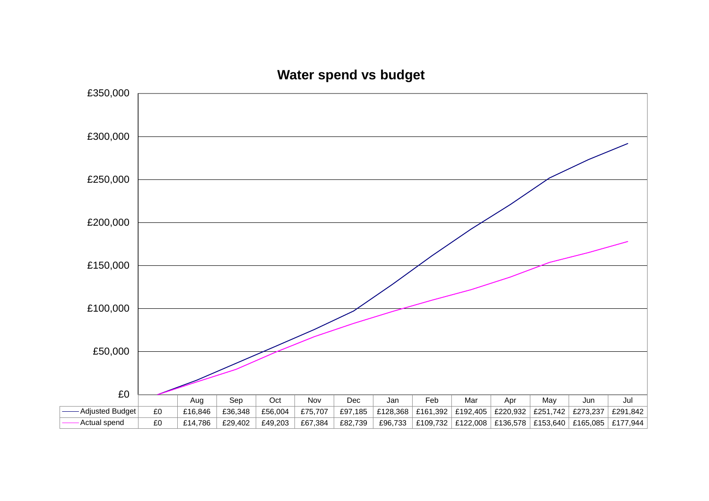

**Water spend vs budget**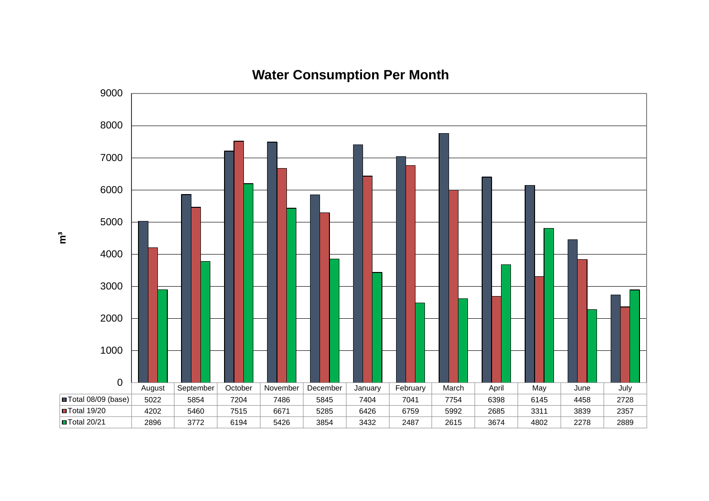

# **Water Consumption Per Month**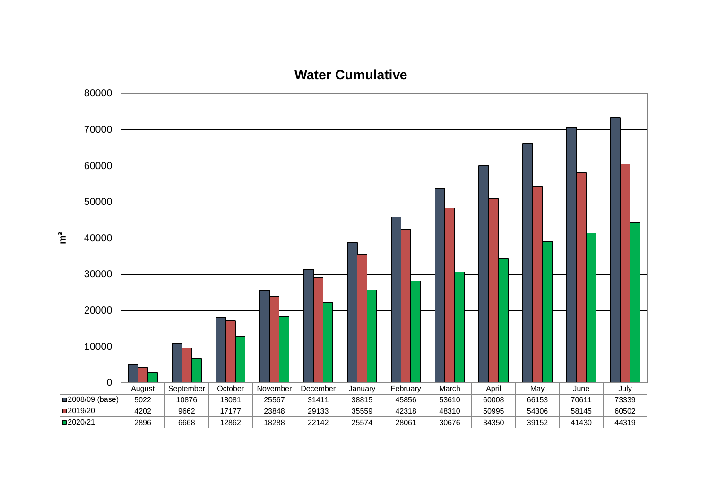

**Water Cumulative**